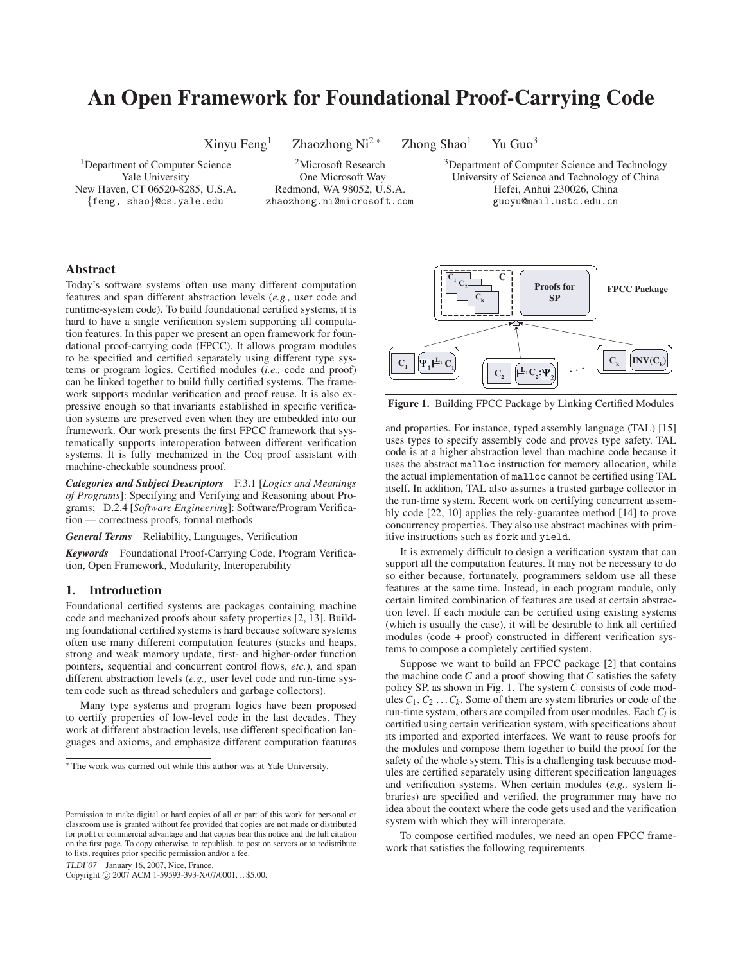# **An Open Framework for Foundational Proof-Carrying Code**

Xinyu Feng<sup>1</sup> Zhaozhong Ni<sup>2 ∗</sup> Zhong Shao<sup>1</sup> Yu Guo<sup>3</sup>

<sup>1</sup>Department of Computer Science <sup>2</sup>Microsoft Research <sup>3</sup>Department of Computer Science and Technology

Yale University One Microsoft Way University of Science and Technology of China New Haven, CT 06520-8285, U.S.A. Redmond, WA 98052, U.S.A. Hefei, Anhui 230026, China {feng, shao}@cs.yale.edu zhaozhong.ni@microsoft.com guoyu@mail.ustc.edu.cn

## **Abstract**

Today's software systems often use many different computation features and span different abstraction levels (*e.g.,* user code and runtime-system code). To build foundational certified systems, it is hard to have a single verification system supporting all computation features. In this paper we present an open framework for foundational proof-carrying code (FPCC). It allows program modules to be specified and certified separately using different type systems or program logics. Certified modules (*i.e.,* code and proof) can be linked together to build fully certified systems. The framework supports modular verification and proof reuse. It is also expressive enough so that invariants established in specific verification systems are preserved even when they are embedded into our framework. Our work presents the first FPCC framework that systematically supports interoperation between different verification systems. It is fully mechanized in the Coq proof assistant with machine-checkable soundness proof.

*Categories and Subject Descriptors* F.3.1 [*Logics and Meanings of Programs*]: Specifying and Verifying and Reasoning about Programs; D.2.4 [*Software Engineering*]: Software/Program Verification — correctness proofs, formal methods

*General Terms* Reliability, Languages, Verification

*Keywords* Foundational Proof-Carrying Code, Program Verification, Open Framework, Modularity, Interoperability

# **1. Introduction**

Foundational certified systems are packages containing machine code and mechanized proofs about safety properties [2, 13]. Building foundational certified systems is hard because software systems often use many different computation features (stacks and heaps, strong and weak memory update, first- and higher-order function pointers, sequential and concurrent control flows, *etc.*), and span different abstraction levels (*e.g.,* user level code and run-time system code such as thread schedulers and garbage collectors).

Many type systems and program logics have been proposed to certify properties of low-level code in the last decades. They work at different abstraction levels, use different specification languages and axioms, and emphasize different computation features

TLDI'07 January 16, 2007, Nice, France.

Copyright © 2007 ACM 1-59593-393-X/07/0001... \$5.00.

**Proofs for SP**  $\mathbf{C}_1$  $C<sub>2</sub>$  $\Psi_1 \not\vdash^{\mathbf{L}_1} C$  $\mathbf{L}_1 \mathbf{C}_k$   $\mathbf{C}_k$   $\mathbf{C}_k$   $\mathbf{C}_k$  $C_{1}$  **C**  $\mathbf{C}_2$  $\mathbf{C}_{\mathbf{k}}$  $\left. \begin{matrix} \mathbf{L}_2 \mathbf{C}_2 \mathbf{:} \mathbf{\Psi}_2 \end{matrix} \right| \quad \cdots$ **FPCC Package**

**Figure 1.** Building FPCC Package by Linking Certified Modules

and properties. For instance, typed assembly language (TAL) [15] uses types to specify assembly code and proves type safety. TAL code is at a higher abstraction level than machine code because it uses the abstract malloc instruction for memory allocation, while the actual implementation of malloc cannot be certified using TAL itself. In addition, TAL also assumes a trusted garbage collector in the run-time system. Recent work on certifying concurrent assembly code [22, 10] applies the rely-guarantee method [14] to prove concurrency properties. They also use abstract machines with primitive instructions such as fork and yield.

It is extremely difficult to design a verification system that can support all the computation features. It may not be necessary to do so either because, fortunately, programmers seldom use all these features at the same time. Instead, in each program module, only certain limited combination of features are used at certain abstraction level. If each module can be certified using existing systems (which is usually the case), it will be desirable to link all certified modules (code + proof) constructed in different verification systems to compose a completely certified system.

Suppose we want to build an FPCC package [2] that contains the machine code *C* and a proof showing that *C* satisfies the safety policy SP, as shown in Fig. 1. The system *C* consists of code modules  $C_1, C_2, \ldots, C_k$ . Some of them are system libraries or code of the run-time system, others are compiled from user modules. Each*Ci* is certified using certain verification system, with specifications about its imported and exported interfaces. We want to reuse proofs for the modules and compose them together to build the proof for the safety of the whole system. This is a challenging task because modules are certified separately using different specification languages and verification systems. When certain modules (*e.g.,* system libraries) are specified and verified, the programmer may have no idea about the context where the code gets used and the verification system with which they will interoperate.

To compose certified modules, we need an open FPCC framework that satisfies the following requirements.



<sup>∗</sup> The work was carried out while this author was at Yale University.

Permission to make digital or hard copies of all or part of this work for personal or classroom use is granted without fee provided that copies are not made or distributed for profit or commercial advantage and that copies bear this notice and the full citation on the first page. To copy otherwise, to republish, to post on servers or to redistribute to lists, requires prior specific permission and/or a fee.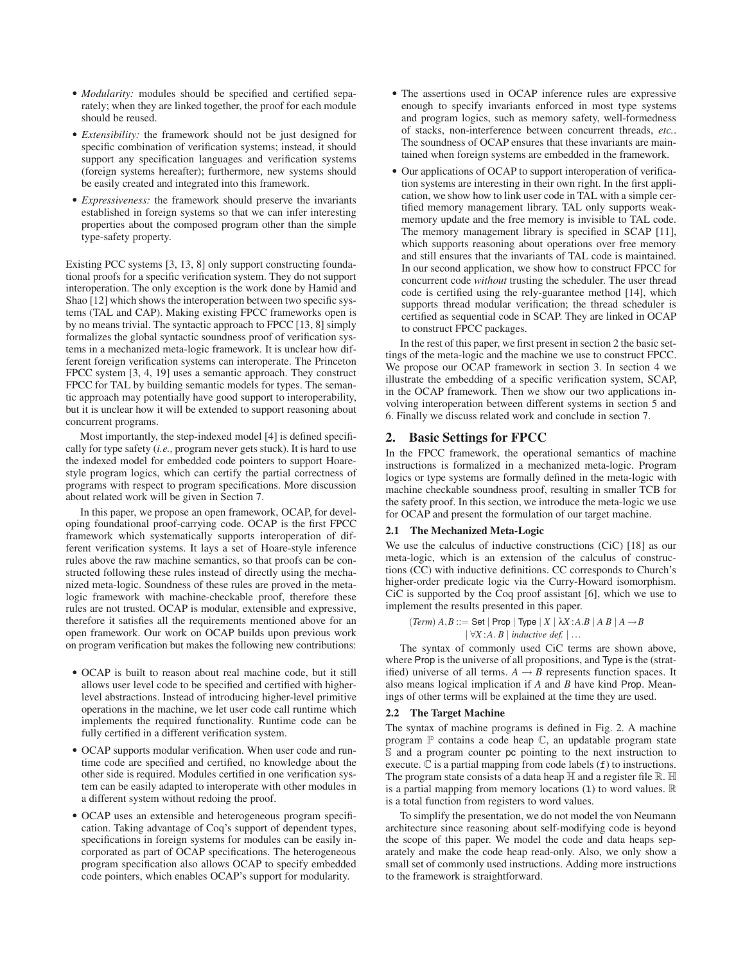- *Modularity:* modules should be specified and certified separately; when they are linked together, the proof for each module should be reused.
- *Extensibility:* the framework should not be just designed for specific combination of verification systems; instead, it should support any specification languages and verification systems (foreign systems hereafter); furthermore, new systems should be easily created and integrated into this framework.
- *Expressiveness:* the framework should preserve the invariants established in foreign systems so that we can infer interesting properties about the composed program other than the simple type-safety property.

Existing PCC systems [3, 13, 8] only support constructing foundational proofs for a specific verification system. They do not support interoperation. The only exception is the work done by Hamid and Shao [12] which shows the interoperation between two specific systems (TAL and CAP). Making existing FPCC frameworks open is by no means trivial. The syntactic approach to FPCC [13, 8] simply formalizes the global syntactic soundness proof of verification systems in a mechanized meta-logic framework. It is unclear how different foreign verification systems can interoperate. The Princeton FPCC system [3, 4, 19] uses a semantic approach. They construct FPCC for TAL by building semantic models for types. The semantic approach may potentially have good support to interoperability, but it is unclear how it will be extended to support reasoning about concurrent programs.

Most importantly, the step-indexed model [4] is defined specifically for type safety (*i.e.,* program never gets stuck). It is hard to use the indexed model for embedded code pointers to support Hoarestyle program logics, which can certify the partial correctness of programs with respect to program specifications. More discussion about related work will be given in Section 7.

In this paper, we propose an open framework, OCAP, for developing foundational proof-carrying code. OCAP is the first FPCC framework which systematically supports interoperation of different verification systems. It lays a set of Hoare-style inference rules above the raw machine semantics, so that proofs can be constructed following these rules instead of directly using the mechanized meta-logic. Soundness of these rules are proved in the metalogic framework with machine-checkable proof, therefore these rules are not trusted. OCAP is modular, extensible and expressive, therefore it satisfies all the requirements mentioned above for an open framework. Our work on OCAP builds upon previous work on program verification but makes the following new contributions:

- OCAP is built to reason about real machine code, but it still allows user level code to be specified and certified with higherlevel abstractions. Instead of introducing higher-level primitive operations in the machine, we let user code call runtime which implements the required functionality. Runtime code can be fully certified in a different verification system.
- OCAP supports modular verification. When user code and runtime code are specified and certified, no knowledge about the other side is required. Modules certified in one verification system can be easily adapted to interoperate with other modules in a different system without redoing the proof.
- OCAP uses an extensible and heterogeneous program specification. Taking advantage of Coq's support of dependent types, specifications in foreign systems for modules can be easily incorporated as part of OCAP specifications. The heterogeneous program specification also allows OCAP to specify embedded code pointers, which enables OCAP's support for modularity.
- The assertions used in OCAP inference rules are expressive enough to specify invariants enforced in most type systems and program logics, such as memory safety, well-formedness of stacks, non-interference between concurrent threads, *etc.*. The soundness of OCAP ensures that these invariants are maintained when foreign systems are embedded in the framework.
- Our applications of OCAP to support interoperation of verification systems are interesting in their own right. In the first application, we show how to link user code in TAL with a simple certified memory management library. TAL only supports weakmemory update and the free memory is invisible to TAL code. The memory management library is specified in SCAP [11], which supports reasoning about operations over free memory and still ensures that the invariants of TAL code is maintained. In our second application, we show how to construct FPCC for concurrent code *without* trusting the scheduler. The user thread code is certified using the rely-guarantee method [14], which supports thread modular verification; the thread scheduler is certified as sequential code in SCAP. They are linked in OCAP to construct FPCC packages.

In the rest of this paper, we first present in section 2 the basic settings of the meta-logic and the machine we use to construct FPCC. We propose our OCAP framework in section 3. In section 4 we illustrate the embedding of a specific verification system, SCAP, in the OCAP framework. Then we show our two applications involving interoperation between different systems in section 5 and 6. Finally we discuss related work and conclude in section 7.

# **2. Basic Settings for FPCC**

In the FPCC framework, the operational semantics of machine instructions is formalized in a mechanized meta-logic. Program logics or type systems are formally defined in the meta-logic with machine checkable soundness proof, resulting in smaller TCB for the safety proof. In this section, we introduce the meta-logic we use for OCAP and present the formulation of our target machine.

## **2.1 The Mechanized Meta-Logic**

We use the calculus of inductive constructions (CiC) [18] as our meta-logic, which is an extension of the calculus of constructions (CC) with inductive definitions. CC corresponds to Church's higher-order predicate logic via the Curry-Howard isomorphism. CiC is supported by the Coq proof assistant [6], which we use to implement the results presented in this paper.

$$
(Term) A, B ::= Set | Prop | Type | X | \lambda X : A.B | A B | A → B
$$
  
|∀X : A. B | inductive def. | ...

The syntax of commonly used CiC terms are shown above, where Prop is the universe of all propositions, and Type is the (stratified) universe of all terms.  $A \rightarrow B$  represents function spaces. It also means logical implication if *A* and *B* have kind Prop. Meanings of other terms will be explained at the time they are used.

## **2.2 The Target Machine**

The syntax of machine programs is defined in Fig. 2. A machine program P contains a code heap C, an updatable program state S and a program counter pc pointing to the next instruction to execute.  $\mathbb C$  is a partial mapping from code labels ( $f$ ) to instructions. The program state consists of a data heap  $H$  and a register file  $R$ .  $H$ is a partial mapping from memory locations (1) to word values.  $\mathbb R$ is a total function from registers to word values.

To simplify the presentation, we do not model the von Neumann architecture since reasoning about self-modifying code is beyond the scope of this paper. We model the code and data heaps separately and make the code heap read-only. Also, we only show a small set of commonly used instructions. Adding more instructions to the framework is straightforward.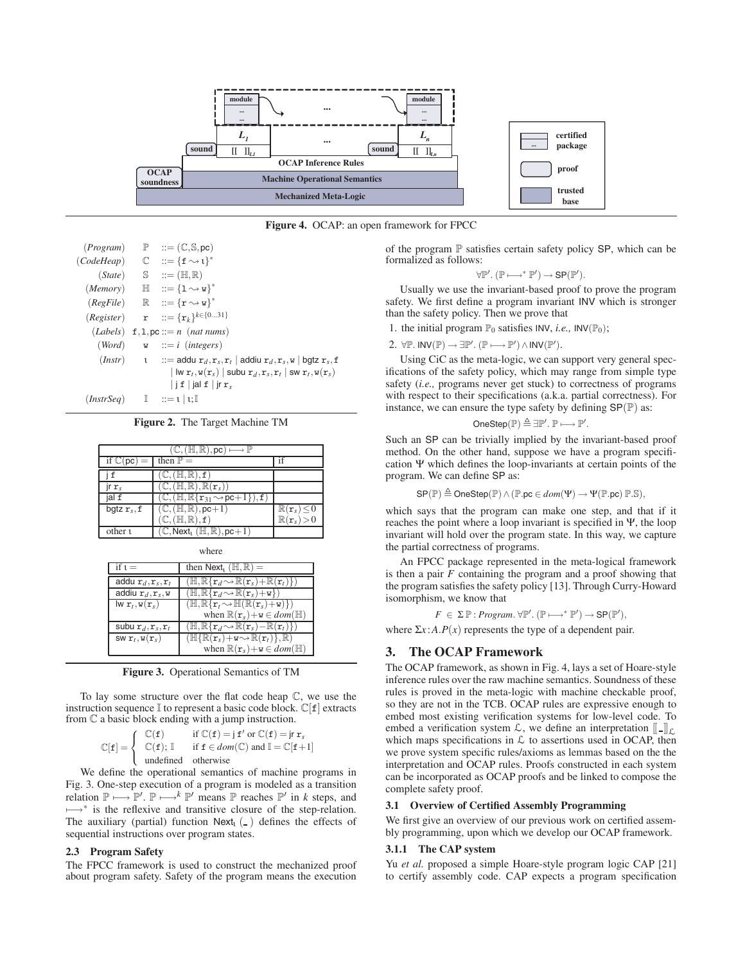

**Figure 4.** OCAP: an open framework for FPCC

| (Program)                                                      | $\mathbb{P}$ ::= (C, S, pc)                                                                                                                                   |
|----------------------------------------------------------------|---------------------------------------------------------------------------------------------------------------------------------------------------------------|
| (CodeHeap)                                                     | $\mathbb{C}$ := { $f \rightsquigarrow t$ } <sup>*</sup>                                                                                                       |
|                                                                | $(State)$ $\mathbb{S}$ $::=(\mathbb{H},\mathbb{R})$                                                                                                           |
|                                                                | $(Memory)$ $\mathbb{H}$ $::=\{1 \rightsquigarrow \mathbf{w}\}^*$                                                                                              |
|                                                                | $(RegFile)$ $\mathbb{R}$ $::=\{\mathbf{r} \rightsquigarrow \mathbf{w}\}^*$                                                                                    |
| (Register)                                                     | $\mathbf{r}$ $::=\{\mathbf{r}_k\}^{k\in\{031\}}$                                                                                                              |
|                                                                | $(Labels)$ f, 1, pc ::= n (nat nums)                                                                                                                          |
|                                                                | $(Word) \t w ::= i (integers)$                                                                                                                                |
|                                                                | $(Instr)$ $\qquad$ ::= addu $\mathbf{r}_d$ , $\mathbf{r}_s$ , $\mathbf{r}_t$   addiu $\mathbf{r}_d$ , $\mathbf{r}_s$ , $\mathbf{w}$   bgtz $\mathbf{r}_s$ , f |
|                                                                | $ \text{lw } \mathbf{r}_t, \mathbf{w}(\mathbf{r}_s) $ subu $\mathbf{r}_d, \mathbf{r}_s, \mathbf{r}_t  $ sw $\mathbf{r}_t, \mathbf{w}(\mathbf{r}_s)$           |
|                                                                | $ $ if $ $ ialf $ $ ir $r_{s}$                                                                                                                                |
| $(InstrSeq)$ $\mathbb{I}$ $::=1 \mid \mathfrak{t}; \mathbb{I}$ |                                                                                                                                                               |

**Figure 2.** The Target Machine TM

|                                     | $\mathbb{C}, (\mathbb{H}, \mathbb{R}), \text{pc}) \longmapsto \mathbb{P}$       |                                       |
|-------------------------------------|---------------------------------------------------------------------------------|---------------------------------------|
| if $\mathbb{C}(\mathsf{pc})$<br>$=$ | then $\mathbb{P} =$                                                             |                                       |
| $\mathbf f$                         | $(H, \mathbb{R}),$ f                                                            |                                       |
| $\mathsf{irr}_s$                    | $(\mathbb{H}, \mathbb{R}), \mathbb{R}(\mathbf{r}_{s})$                          |                                       |
| jal f                               | $(\mathbb{C}, (\mathbb{H}, \mathbb{R}\{r_{31} \rightarrow pc+1\}), \mathbf{f})$ |                                       |
| bgtz $r_s$ , f                      | $(\mathbb{C}, (\mathbb{H}, \mathbb{R}), \text{pc}+1)$                           | $\mathbb{R}(\mathtt{r}_s) \!\leq\! 0$ |
|                                     | $\mathbb{C}, (\mathbb{H}, \mathbb{R}), \mathtt{f})$                             | $\mathbb{R}(\mathtt{r}_s)\!>\!0$      |
| other t                             | $\mathbb{C},$ Next <sub>1</sub> ( $\mathbb{H}, \mathbb{R}$ ), pc+1)             |                                       |

| . .<br>۰.<br>٠ |
|----------------|
|----------------|

| if $t =$                                               | then Next <sub>1</sub> ( $\mathbb{H}, \mathbb{R}$ ) =                                               |
|--------------------------------------------------------|-----------------------------------------------------------------------------------------------------|
| addu $r_d, r_s, r_t$                                   | $(\mathbb{H}, \mathbb{R}\{\mathbf{r}_d \sim \mathbb{R}(\mathbf{r}_s) + \mathbb{R}(\mathbf{r}_t)\})$ |
| addiu $r_d, r_s, w$                                    | $(\mathbb{H}, \mathbb{R}\{r_d \sim \mathbb{R}(r_s)+\mathbf{w}\})$                                   |
| $\mathsf{lw}\; \mathbf{r}_t, \mathsf{w}(\mathbf{r}_s)$ | $(\mathbb{H}, \mathbb{R}\{\mathbf{r}_t \sim \mathbb{H}(\mathbb{R}(\mathbf{r}_s)+\mathbf{w})\})$     |
|                                                        | when $\mathbb{R}(\mathbf{r}_s)+\mathbf{w}\in dom(\mathbb{H})$                                       |
| subu $\mathbf{r}_d, \mathbf{r}_s, \mathbf{r}_t$        | $(\mathbb{H}, \mathbb{R}\{\mathbf{r}_d \sim \mathbb{R}(\mathbf{r}_s) - \mathbb{R}(\mathbf{r}_t)\})$ |
| SW $\mathbf{r}_t$ , $\mathbf{w}(\mathbf{r}_s)$         | $(\mathbb{H}\{\mathbb{R}(\mathbf{r}_s)+\mathbf{w}\sim\mathbb{R}(\mathbf{r}_t)\},\mathbb{R})$        |
|                                                        | when $\mathbb{R}(\mathbf{r}_s)+\mathbf{w}\in dom(\mathbb{H})$                                       |

**Figure 3.** Operational Semantics of TM

To lay some structure over the flat code heap C, we use the instruction sequence  $\mathbb I$  to represent a basic code block.  $\mathbb C[f]$  extracts from C a basic block ending with a jump instruction.

$$
\mathbb{C}[\mathtt{f}] = \left\{ \begin{array}{cl} \mathbb{C}(\mathtt{f}) & \text{if } \mathbb{C}(\mathtt{f}) = \mathtt{j} \, \mathtt{f}' \, \text{or} \, \mathbb{C}(\mathtt{f}) = \mathtt{j} \, \mathtt{r}_s \\ \mathbb{C}(\mathtt{f}); \, \mathbb{I} & \text{if } \mathtt{f} \in \textit{dom}(\mathbb{C}) \text{ and } \mathbb{I} = \mathbb{C}[\mathtt{f}+1] \\ \text{undefined} & \text{otherwise} \end{array} \right.
$$

We define the operational semantics of machine programs in Fig. 3. One-step execution of a program is modeled as a transition relation  $\mathbb{P} \longmapsto \mathbb{P}'$ .  $\mathbb{P} \longmapsto^k \mathbb{P}'$  means  $\mathbb{P}$  reaches  $\mathbb{P}'$  in *k* steps, and  $\mapsto^*$  is the reflexive and transitive closure of the step-relation. The auxiliary (partial) function  $Next<sub>1</sub>(-)$  defines the effects of sequential instructions over program states.

## **2.3 Program Safety**

The FPCC framework is used to construct the mechanized proof about program safety. Safety of the program means the execution

of the program  $\mathbb P$  satisfies certain safety policy SP, which can be formalized as follows:

$$
\forall \mathbb{P}'. (\mathbb{P} \longmapsto^* \mathbb{P}') \rightarrow SP(\mathbb{P}').
$$

Usually we use the invariant-based proof to prove the program safety. We first define a program invariant INV which is stronger than the safety policy. Then we prove that

1. the initial program  $\mathbb{P}_0$  satisfies INV, *i.e.*, INV( $\mathbb{P}_0$ );

2.  $\forall \mathbb{P}.\mathsf{INV}(\mathbb{P}) \rightarrow \exists \mathbb{P}'. (\mathbb{P} \longmapsto \mathbb{P}') \wedge \mathsf{INV}(\mathbb{P}').$ 

Using CiC as the meta-logic, we can support very general specifications of the safety policy, which may range from simple type safety (*i.e.,* programs never get stuck) to correctness of programs with respect to their specifications (a.k.a. partial correctness). For instance, we can ensure the type safety by defining  $SP(\mathbb{P})$  as:

$$
\mathsf{OneStep}(\mathbb{P}) \triangleq \exists \mathbb{P}'. \mathbb{P} \longmapsto \mathbb{P}'.
$$

Such an SP can be trivially implied by the invariant-based proof method. On the other hand, suppose we have a program specification Ψ which defines the loop-invariants at certain points of the program. We can define SP as:

$$
\text{SP}(\mathbb{P}) \stackrel{\Delta}{=} \text{OneStep}(\mathbb{P}) \land (\mathbb{P}.\text{pc} \in \text{dom}(\Psi) \rightarrow \Psi(\mathbb{P}.\text{pc})\ \mathbb{P}.\mathbb{S}),
$$

which says that the program can make one step, and that if it reaches the point where a loop invariant is specified in Ψ, the loop invariant will hold over the program state. In this way, we capture the partial correctness of programs.

An FPCC package represented in the meta-logical framework is then a pair *F* containing the program and a proof showing that the program satisfies the safety policy [13]. Through Curry-Howard isomorphism, we know that

 $F \in \Sigma \mathbb{P} : Program. \forall \mathbb{P}'. (\mathbb{P} \longmapsto^* \mathbb{P}') \rightarrow SP(\mathbb{P}'),$ 

where  $\Sigma x$ : *A*.*P*(*x*) represents the type of a dependent pair.

# **3. The OCAP Framework**

The OCAP framework, as shown in Fig. 4, lays a set of Hoare-style inference rules over the raw machine semantics. Soundness of these rules is proved in the meta-logic with machine checkable proof, so they are not in the TCB. OCAP rules are expressive enough to embed most existing verification systems for low-level code. To embed a verification system  $\mathcal{L}$ , we define an interpretation  $[\![\,.\!]_{\mathcal{L}}$ which maps specifications in  $\mathcal L$  to assertions used in OCAP, then we prove system specific rules/axioms as lemmas based on the the interpretation and OCAP rules. Proofs constructed in each system can be incorporated as OCAP proofs and be linked to compose the complete safety proof.

### **3.1 Overview of Certified Assembly Programming**

We first give an overview of our previous work on certified assembly programming, upon which we develop our OCAP framework.

#### **3.1.1 The CAP system**

Yu *et al.* proposed a simple Hoare-style program logic CAP [21] to certify assembly code. CAP expects a program specification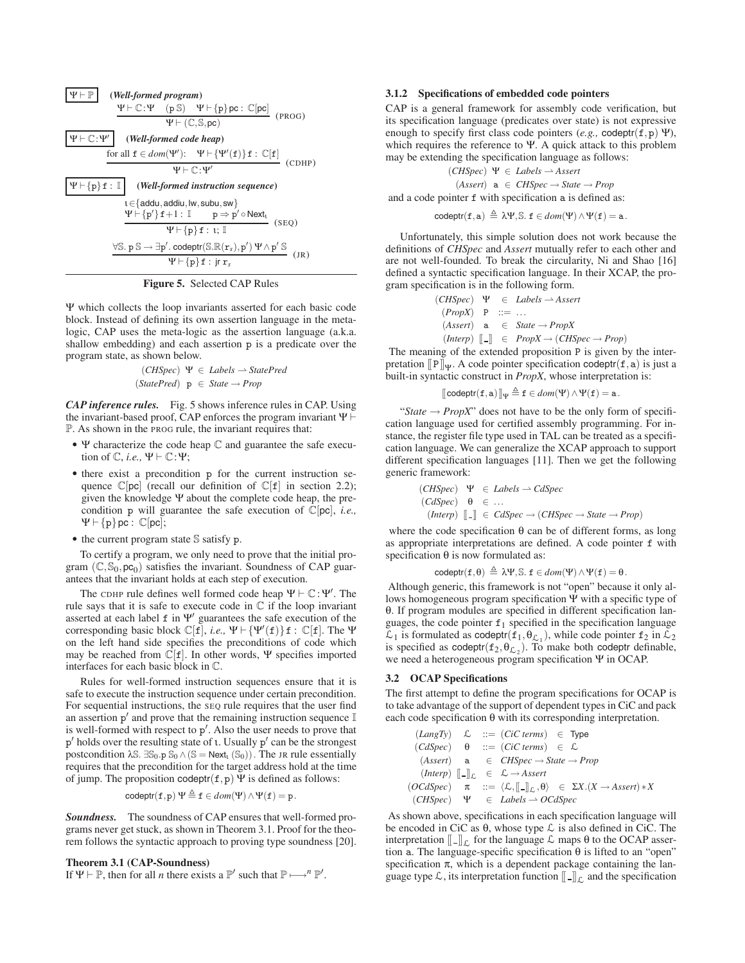

**Figure 5.** Selected CAP Rules

Ψ which collects the loop invariants asserted for each basic code block. Instead of defining its own assertion language in the metalogic, CAP uses the meta-logic as the assertion language (a.k.a. shallow embedding) and each assertion p is a predicate over the program state, as shown below.

$$
(CHSpec) \ \Psi \in \mathit{Labels} \longrightarrow \mathit{StatePred}
$$
  

$$
(StatePred) \ p \in \mathit{State} \rightarrow Prop
$$

*CAP inference rules.* Fig. 5 shows inference rules in CAP. Using the invariant-based proof, CAP enforces the program invariant Ψ  P. As shown in the PROG rule, the invariant requires that:

- Ψ characterize the code heap C and guarantee the safe execution of  $\mathbb{C}$ , *i.e.*,  $\Psi \vdash \mathbb{C}$ : $\Psi$ ;
- there exist a precondition p for the current instruction sequence  $\mathbb{C}[\text{pc}]$  (recall our definition of  $\mathbb{C}[\text{f}]$  in section 2.2); given the knowledge Ψ about the complete code heap, the precondition p will guarantee the safe execution of C[pc], *i.e.,*  $\Psi \vdash \{\texttt{p}\}\texttt{pc} : \mathbb{C}[\texttt{pc}];$
- the current program state S satisfy p.

To certify a program, we only need to prove that the initial program  $(\mathbb{C}, \mathbb{S}_0, \mathsf{pc}_0)$  satisfies the invariant. Soundness of CAP guarantees that the invariant holds at each step of execution.

The CDHP rule defines well formed code heap  $\Psi \vdash \mathbb{C} : \Psi'$ . The rule says that it is safe to execute code in  $\mathbb C$  if the loop invariant asserted at each label  $f$  in  $\Psi'$  guarantees the safe execution of the corresponding basic block  $\mathbb{C}[f]$ , *i.e.*,  $\Psi \vdash {\Psi'(f)}f : \mathbb{C}[f]$ . The  $\Psi$ on the left hand side specifies the preconditions of code which may be reached from C[f]. In other words, Ψ specifies imported interfaces for each basic block in C.

Rules for well-formed instruction sequences ensure that it is safe to execute the instruction sequence under certain precondition. For sequential instructions, the SEQ rule requires that the user find an assertion  $p'$  and prove that the remaining instruction sequence  $\mathbb I$ is well-formed with respect to  $p'$ . Also the user needs to prove that  $p'$  holds over the resulting state of *ι*. Usually  $p'$  can be the strongest postcondition  $\lambda \mathbb{S}$ .  $\mathbb{S}_0 \cdot \mathbb{P} \mathbb{S}_0 \wedge (\mathbb{S} = \text{Next}_1(\mathbb{S}_0))$ . The JR rule essentially requires that the precondition for the target address hold at the time of jump. The proposition codeptr( $f, p$ )  $\Psi$  is defined as follows:

$$
\mathsf{codeptr}(\mathtt{f},\mathtt{p})\ \Psi \triangleq \mathtt{f} \in \mathit{dom}(\Psi) \land \Psi(\mathtt{f}) = \mathtt{p}.
$$

*Soundness.* The soundness of CAP ensures that well-formed programs never get stuck, as shown in Theorem 3.1. Proof for the theorem follows the syntactic approach to proving type soundness [20].

#### **Theorem 3.1 (CAP-Soundness)**

If  $\Psi \vdash \mathbb{P}$ , then for all *n* there exists a  $\mathbb{P}'$  such that  $\mathbb{P} \longmapsto^n \mathbb{P}'$ .

#### **3.1.2 Specifications of embedded code pointers**

CAP is a general framework for assembly code verification, but its specification language (predicates over state) is not expressive enough to specify first class code pointers (*e.g.,* codeptr(f,p) Ψ), which requires the reference to Ψ. A quick attack to this problem may be extending the specification language as follows:

$$
(CHSpec) \Psi ∈ \textit{Labels} \rightarrow \textit{As} \textit{set}
$$
  

$$
(\textit{As} \textit{set}) \text{ a } ∈ \textit{CHSpec} \rightarrow \textit{State} \rightarrow \textit{Prop}
$$
  
and a code pointer **f** with specification **a** is defined as:

 $\text{codeptr}(\mathtt{f},\mathtt{a})\,\triangleq\,\lambda\Psi,\mathbb{S}.$   $\mathtt{f}\in\mathit{dom}(\Psi)\wedge\Psi(\mathtt{f})=\mathtt{a}$ .

Unfortunately, this simple solution does not work because the definitions of *CHSpec* and *Assert* mutually refer to each other and are not well-founded. To break the circularity, Ni and Shao [16] defined a syntactic specification language. In their XCAP, the program specification is in the following form.

> $(CHSpec) \quad \Psi \quad \in \quad \text{Labels} \longrightarrow \text{Assert}$  $(PropX)$  P ::= ...  $(Assert)$  **a**  $\in$  *State*  $\rightarrow$  *PropX*  $(Interp)$   $\lbrack \lbrack \lbrack \cdot \rbrack \rbrack$   $\in PropX \rightarrow (CHSpec \rightarrow Prop)$

The meaning of the extended proposition P is given by the interpretation  $[$ P $]$ Ψ. A code pointer specification codeptr(f, a) is just a built-in syntactic construct in *PropX*, whose interpretation is:

$$
[\![codept(f,a)]\!]_\Psi \stackrel{\Delta}{=} f \in dom(\Psi) \wedge \Psi(f) = a.
$$

"*State*  $\rightarrow$  *PropX*" does not have to be the only form of specification language used for certified assembly programming. For instance, the register file type used in TAL can be treated as a specification language. We can generalize the XCAP approach to support different specification languages [11]. Then we get the following generic framework:

$$
(CHSpec) \quad \Psi \in \text{Labels} \to \text{CdSpec}
$$
\n
$$
(CdSpec) \quad \theta \in \dots
$$
\n
$$
(Interp) \quad [\![\text{-}]\!] \in \text{CdSpec} \to (CHSpec \to State \to Prop)
$$

where the code specification  $\theta$  can be of different forms, as long as appropriate interpretations are defined. A code pointer f with specification  $\theta$  is now formulated as:

$$
\text{codeptr}(\mathtt{f},\theta) \triangleq \lambda \Psi, \mathbb{S}.~\mathtt{f} \in \text{dom}(\Psi) \wedge \Psi(\mathtt{f}) = \theta.
$$

Although generic, this framework is not "open" because it only allows homogeneous program specification Ψ with a specific type of θ. If program modules are specified in different specification languages, the code pointer  $f_1$  specified in the specification language  $\mathcal{L}_1$  is formulated as codeptr( $f_1, \theta_{\mathcal{L}_1}$ ), while code pointer  $f_2$  in  $\mathcal{L}_2$ is specified as codeptr( $f_2, \theta_{\mathcal{L}_2}$ ). To make both codeptr definable, we need a heterogeneous program specification Ψ in OCAP.

#### **3.2 OCAP Specifications**

The first attempt to define the program specifications for OCAP is to take advantage of the support of dependent types in CiC and pack each code specification  $\theta$  with its corresponding interpretation.

$$
(LangTy) \quad \mathcal{L} \quad ::= \quad (Cic \text{ terms}) \in \text{ Type}
$$
\n
$$
(CdSpec) \quad \theta \quad ::= \quad (Cic \text{ terms}) \in \mathcal{L}
$$
\n
$$
(Asser) \quad \mathbf{a} \quad \in \text{ CHSpec} \rightarrow \text{State} \rightarrow \text{Prop}
$$
\n
$$
(Interp) \quad [\!\![\!\! \text{I} \!\! \!\! \text{I}] \!\!]_{\mathcal{L}} \in \mathcal{L} \rightarrow \text{As} \text{set}
$$
\n
$$
(OCdSpec) \quad \pi \quad ::= \langle \mathcal{L}, [\!\! \text{I} \!\! \text{I}] \!\! \text{I}_{\mathcal{L}}, \theta \rangle \in \Sigma X. (X \rightarrow \text{As} \text{set}) * X
$$
\n
$$
(CHSpec) \quad \Psi \quad \in \text{ Labels} \rightarrow \text{OCdSpec}
$$

As shown above, specifications in each specification language will be encoded in CiC as  $\theta$ , whose type  $\mathcal L$  is also defined in CiC. The interpretation  $\llbracket \cdot \rrbracket_{\Gamma}$  for the language  $\mathcal L$  maps  $\theta$  to the OCAP assertion a. The language-specific specification  $θ$  is lifted to an "open" specification  $\pi$ , which is a dependent package containing the language type  $\mathcal{L}$ , its interpretation function  $\llbracket - \rrbracket_{\mathcal{L}}$  and the specification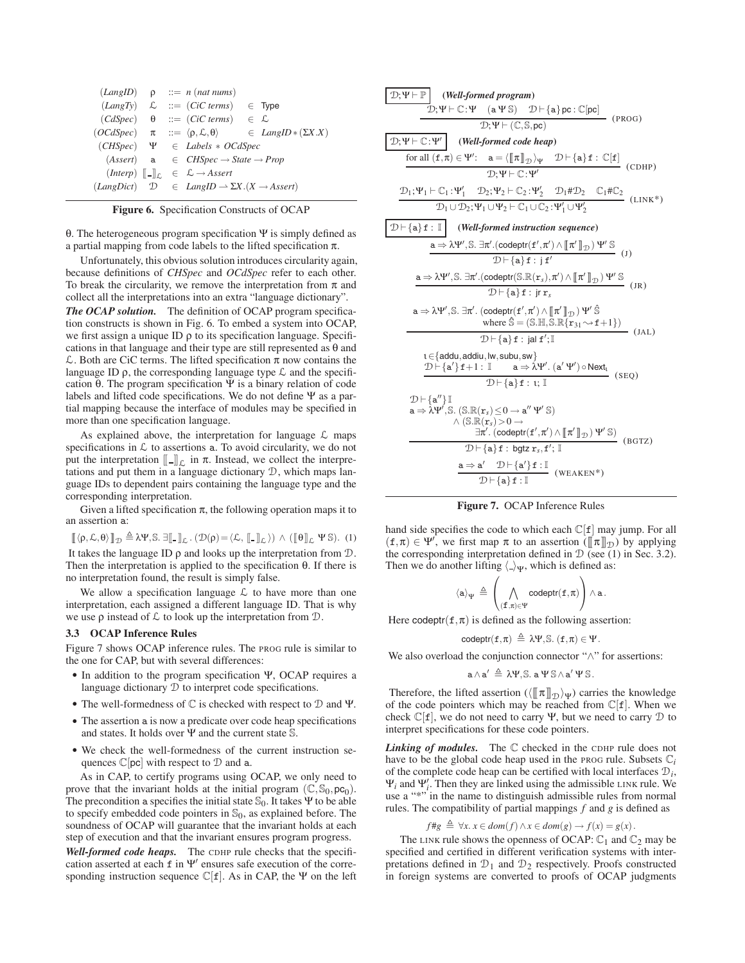|              |  | $(LangID)$ $\rho$ ::= <i>n</i> ( <i>nat nums</i> )                                |                                                                                                |
|--------------|--|-----------------------------------------------------------------------------------|------------------------------------------------------------------------------------------------|
|              |  | $(LangTy) \quad \mathcal{L} \quad ::= (CiC \text{ terms})$                        | $\in$ Type                                                                                     |
|              |  | $(CdSpec)$ $\theta$ ::= $(CiC \text{ terms}) \in \mathcal{L}$                     |                                                                                                |
|              |  |                                                                                   | $(OCdSpec)$ $\pi$ ::= $\langle \rho, \mathcal{L}, \theta \rangle$ $\in$ LangID $*(\Sigma X.X)$ |
|              |  | $(CHSpec) \quad \Psi \in \text{Labels} * OCdSpec$                                 |                                                                                                |
| $(Assert)$ a |  | $\in$ CHSpec $\rightarrow$ State $\rightarrow$ Prop                               |                                                                                                |
|              |  | $(Interp)$ $\ \_ \right _c \in \mathcal{L} \rightarrow \mathit{assert}$           |                                                                                                |
|              |  | $(LangDict)$ $\mathcal{D} \in LangID \rightarrow \Sigma X.(X \rightarrow Assert)$ |                                                                                                |
|              |  |                                                                                   |                                                                                                |

**Figure 6.** Specification Constructs of OCAP

θ. The heterogeneous program specification Ψ is simply defined as a partial mapping from code labels to the lifted specification π.

Unfortunately, this obvious solution introduces circularity again, because definitions of *CHSpec* and *OCdSpec* refer to each other. To break the circularity, we remove the interpretation from  $\pi$  and collect all the interpretations into an extra "language dictionary".

*The OCAP solution.* The definition of OCAP program specification constructs is shown in Fig. 6. To embed a system into OCAP, we first assign a unique ID  $\rho$  to its specification language. Specifications in that language and their type are still represented as  $\theta$  and  $\mathcal L$ . Both are CiC terms. The lifted specification  $\pi$  now contains the language ID  $\rho$ , the corresponding language type  $\mathcal L$  and the specification θ. The program specification Ψ is a binary relation of code labels and lifted code specifications. We do not define Ψ as a partial mapping because the interface of modules may be specified in more than one specification language.

As explained above, the interpretation for language  $\mathcal L$  maps specifications in  $\mathcal L$  to assertions a. To avoid circularity, we do not put the interpretation  $\llbracket - \rrbracket_{\mathcal{L}}$  in π. Instead, we collect the interpretations and put them in a language dictionary D, which maps language IDs to dependent pairs containing the language type and the corresponding interpretation.

Given a lifted specification  $\pi$ , the following operation maps it to an assertion a:

$$
\llbracket \langle \rho, \mathcal{L}, \theta \rangle \rrbracket_{\mathcal{D}} \triangleq \lambda \Psi, \mathbb{S}. \; \exists \llbracket \_\rrbracket_{\mathcal{L}} \; . \; (\mathcal{D}(\rho) = \langle \mathcal{L}, \llbracket \_\rrbracket_{\mathcal{L}})) \; \wedge \; (\llbracket \theta \rrbracket_{\mathcal{L}} \; \Psi \; \mathbb{S}). \; \; (1)
$$

It takes the language ID  $\rho$  and looks up the interpretation from  $D$ . Then the interpretation is applied to the specification θ. If there is no interpretation found, the result is simply false.

We allow a specification language  $\mathcal L$  to have more than one interpretation, each assigned a different language ID. That is why we use  $\rho$  instead of  $\mathcal L$  to look up the interpretation from  $\mathcal D$ .

## **3.3 OCAP Inference Rules**

Figure 7 shows OCAP inference rules. The PROG rule is similar to the one for CAP, but with several differences:

- In addition to the program specification Ψ, OCAP requires a language dictionary D to interpret code specifications.
- The well-formedness of  $\mathbb C$  is checked with respect to  $\mathbb D$  and  $\Psi$ .
- The assertion a is now a predicate over code heap specifications and states. It holds over Ψ and the current state S.
- We check the well-formedness of the current instruction sequences  $\mathbb{C}[\text{pc}]$  with respect to  $\mathcal D$  and a.

As in CAP, to certify programs using OCAP, we only need to prove that the invariant holds at the initial program  $(\mathbb{C}, \mathbb{S}_0, \text{pc}_0)$ . The precondition a specifies the initial state  $\mathcal{S}_0$ . It takes Ψ to be able to specify embedded code pointers in  $\mathbb{S}_0$ , as explained before. The soundness of OCAP will guarantee that the invariant holds at each step of execution and that the invariant ensures program progress.

*Well-formed code heaps.* The CDHP rule checks that the specification asserted at each  $f$  in  $\Psi'$  ensures safe execution of the corresponding instruction sequence  $\mathbb{C}[f]$ . As in CAP, the  $\Psi$  on the left

| $\mathcal{D}; \Psi \vdash \mathbb{P}$ (Well-formed program)                                                                                                                                                                                                                                                                                                                       |      |
|-----------------------------------------------------------------------------------------------------------------------------------------------------------------------------------------------------------------------------------------------------------------------------------------------------------------------------------------------------------------------------------|------|
| $D; \Psi \vdash \mathbb{C}: \Psi$ (a $\Psi$ S) $D \vdash \{a\}$ pc : $\mathbb{C}[pc]$ (PROG)                                                                                                                                                                                                                                                                                      |      |
| $\mathcal{D}; \overline{\Psi} \vdash (\mathbb{C}, \mathbb{S}, \text{pc})$                                                                                                                                                                                                                                                                                                         |      |
| $\mathcal{D}; \Psi \vdash \mathbb{C}: \Psi'$ (Well-formed code heap)                                                                                                                                                                                                                                                                                                              |      |
| for all $(\mathbf{f}, \pi) \in \Psi'$ : $\mathbf{a} = \langle [\![\pi]\!]_{\mathcal{D}} \rangle_{\Psi} \quad \mathcal{D} \vdash \{\mathbf{a}\} \mathbf{f} : \mathbb{C}[\mathbf{f}]$ (CDHP)                                                                                                                                                                                        |      |
| $\mathcal{D}$ : $\Psi \vdash \mathbb{C}$ : $\Psi'$                                                                                                                                                                                                                                                                                                                                |      |
| $\begin{aligned} &\mathcal{D}_1;\Psi_1\vdash\mathbb{C}_1\!:\!\Psi_1'\quad\mathcal{D}_2;\!\Psi_2\vdash\mathbb{C}_2\!:\!\Psi_2'\quad\mathcal{D}_1\#\mathcal{D}_2\quad\mathbb{C}_1\#\mathbb{C}_2\\ &\mathcal{D}_1\cup\mathcal{D}_2;\!\Psi_1\cup\Psi_2\vdash\mathbb{C}_1\cup\mathbb{C}_2\!:\!\Psi_1'\cup\Psi_2'\end{aligned}\;\;(\text{LINK}^*)$                                      |      |
|                                                                                                                                                                                                                                                                                                                                                                                   |      |
| $\mathcal{D} \vdash \{a\} \underline{f} : \mathbb{I}$ (Well-formed instruction sequence)                                                                                                                                                                                                                                                                                          |      |
| $\overrightarrow{a} \Rightarrow \lambda \Psi', \mathbb{S}. \exists \pi'.(\underline{\text{codeptr}(f',\pi') \wedge \llbracket \pi' \rrbracket_{\mathcal{D}}) \Psi' \mathbb{S}}$ (J)                                                                                                                                                                                               |      |
| $\overline{\mathcal{D} \vdash \{\mathtt{a}\}} \mathtt{f} : \mathtt{j} \mathtt{f}'$                                                                                                                                                                                                                                                                                                |      |
| $\mathtt{a} \Rightarrow \lambda \Psi', \mathbb{S}.~\exists \pi'. (\textsf{codeptr}(\mathbb{S}.\mathbb{R}(\mathtt{r}_s), \pi') \wedge \llbracket \pi' \rrbracket_{\mathcal{D}})~\Psi'~\mathbb{S}$                                                                                                                                                                                  |      |
| $D \vdash \{a\} f : ir r_s$                                                                                                                                                                                                                                                                                                                                                       | (JR) |
| $a \Rightarrow \lambda \Psi', \mathbb{S}$ . $\exists \pi'.$ (codeptr $(f', \pi') \wedge \llbracket \pi' \rrbracket_{\mathcal{D}}$ ) $\Psi' \hat{\mathbb{S}}$<br>where $\hat{\mathbb{S}} = (\mathbb{S} \cdot \mathbb{H}, \mathbb{S} \cdot \mathbb{R} \{r_{31} \rightarrow r+1\})$ (JAL)                                                                                            |      |
| $\mathcal{D} \vdash \{\mathbf{a}\}\,\mathbf{f}$ : jal $\mathbf{f}' ; \mathbb{I}$                                                                                                                                                                                                                                                                                                  |      |
| $\iota \! \in \! \lbrace \mathsf{addu}, \mathsf{addiu}, \mathsf{lw}, \mathsf{subu}, \mathsf{sw} \rbrace$<br>$1 \in \{\text{adau}, \text{aduu}, \text{two}, \text{two}, \ldots, \text{two}\}$<br>$\mathcal{D} \vdash \{\mathbf{a'}\}\mathbf{f} + 1 : \mathbb{I} \qquad \mathbf{a} \Rightarrow \lambda \Psi' \cdot (\mathbf{a'}\Psi') \circ \text{Next}_1$ (SEQ)                    |      |
| $D \vdash \{a\} f : L$                                                                                                                                                                                                                                                                                                                                                            |      |
| $D \vdash \{a''\}$ $\mathbb{I}$<br>$\mathsf{a} \Rightarrow \lambda \Psi', \mathbb{S}.$ (S. $\mathbb{R}(\mathbf{r}_{\mathsf{s}}) \leq 0 \rightarrow \mathsf{a}'' \Psi' \mathbb{S}$ )<br>$\wedge$ (S.R( $\mathbf{r}_{s}$ ) $>0 \rightarrow$<br>$\mathbb{H}(\mathbf{r}_s) > 0$ →<br>$\exists \pi'.$ (codeptr( $\mathbf{f}', \pi'$ ) ∧ $[\![\pi' \,]\!]_{\mathcal{D}}$ ) Ψ' S) (BGTZ) |      |
| $\mathcal{D} \vdash \{\mathtt{a}\} \mathtt{f} : \mathtt{bgtz}\ \mathtt{r}_s, \mathtt{f}'; \mathbb{I}$                                                                                                                                                                                                                                                                             |      |
| $\frac{\mathtt{a} \Rightarrow \mathtt{a'} \quad \mathcal{D} \mathop{\vdash} \{\mathtt{a'}\} \mathtt{f} : \mathbb{I}}{\mathcal{D} \mathop{\vdash} \{\mathtt{a}\} \mathtt{f} : \mathbb{I}} ~~(\texttt{WEAKEN*})$                                                                                                                                                                    |      |
|                                                                                                                                                                                                                                                                                                                                                                                   |      |

## **Figure 7.** OCAP Inference Rules

hand side specifies the code to which each  $\mathbb{C}[f]$  may jump. For all  $(f, \pi) \in \Psi'$ , we first map  $\pi$  to an assertion  $(\llbracket \pi \rrbracket_D)$  by applying the corresponding interpretation defined in  $D$  (see (1) in Sec. 3.2). Then we do another lifting  $\langle \rangle_{\Psi}$ , which is defined as:

$$
\langle a\rangle_\Psi \,\triangleq\, \left(\bigwedge_{(f,\pi)\in\Psi}\text{codeptr}(f,\pi)\right)\wedge a\,.
$$

Here codeptr( $f, \pi$ ) is defined as the following assertion:

$$
\text{codeptr}(\mathtt{f},\pi) \,\triangleq\, \lambda \Psi, \mathbb{S}.~(\mathtt{f},\pi) \in \Psi.
$$

We also overload the conjunction connector "∧" for assertions:

$$
\mathtt{a} \wedge \mathtt{a}' \triangleq \lambda \Psi, \mathbb{S}.~\mathtt{a} \Psi \, \mathbb{S} \wedge \mathtt{a}' \, \Psi \, \mathbb{S}.
$$

Therefore, the lifted assertion ( $\langle [\![\pi]\!]_{\mathcal{D}}\rangle_{\Psi}$ ) carries the knowledge of the code pointers which may be reached from  $\mathbb{C}[f]$ . When we check  $\mathbb{C}[f]$ , we do not need to carry Ψ, but we need to carry  $\mathbb D$  to interpret specifications for these code pointers.

*Linking of modules.* The C checked in the CDHP rule does not have to be the global code heap used in the PROG rule. Subsets  $\mathbb{C}_i$ of the complete code heap can be certified with local interfaces  $D_i$ ,  $Ψ<sub>i</sub>$  and  $Ψ'<sub>i</sub>$ . Then they are linked using the admissible LINK rule. We use a "\*" in the name to distinguish admissible rules from normal rules. The compatibility of partial mappings *f* and *g* is defined as

$$
f \# g \triangleq \forall x. \ x \in dom(f) \land x \in dom(g) \to f(x) = g(x).
$$

The LINK rule shows the openness of OCAP:  $\mathbb{C}_1$  and  $\mathbb{C}_2$  may be specified and certified in different verification systems with interpretations defined in  $\mathcal{D}_1$  and  $\mathcal{D}_2$  respectively. Proofs constructed in foreign systems are converted to proofs of OCAP judgments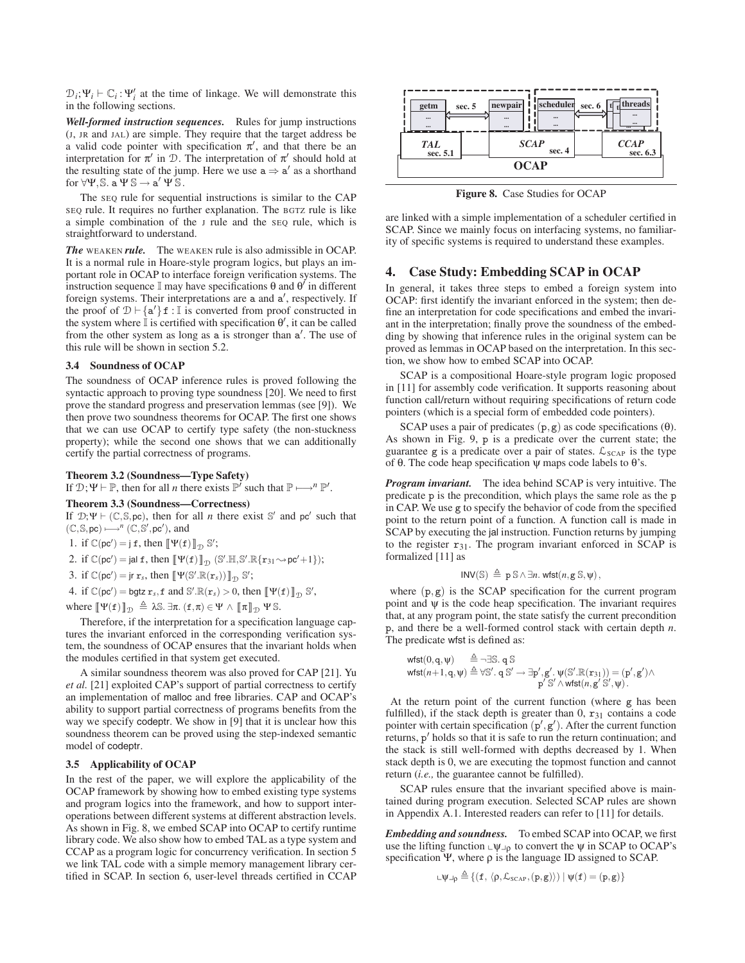$\mathcal{D}_i$ ; Ψ<sub>*i*</sub>  $\vdash \mathbb{C}_i : \Psi'_i$  at the time of linkage. We will demonstrate this in the following sections.

*Well-formed instruction sequences.* Rules for jump instructions (J, JR and JAL) are simple. They require that the target address be a valid code pointer with specification  $\pi'$ , and that there be an interpretation for  $\pi'$  in  $\mathcal{D}$ . The interpretation of  $\pi'$  should hold at the resulting state of the jump. Here we use  $a \Rightarrow a'$  as a shorthand for  $\forall \Psi$ , S. a  $\Psi$  S  $\rightarrow$  a'  $\Psi$  S.

The SEQ rule for sequential instructions is similar to the CAP SEQ rule. It requires no further explanation. The BGTZ rule is like a simple combination of the J rule and the SEQ rule, which is straightforward to understand.

*The* WEAKEN *rule.* The WEAKEN rule is also admissible in OCAP. It is a normal rule in Hoare-style program logics, but plays an important role in OCAP to interface foreign verification systems. The instruction sequence  $\mathbb I$  may have specifications θ and θ' in different foreign systems. Their interpretations are a and a', respectively. If the proof of  $\mathcal{D} \vdash \{a'\}$  **f** : I is converted from proof constructed in the system where  $\overline{\mathbb{I}}$  is certified with specification  $\theta'$ , it can be called from the other system as long as a is stronger than a'. The use of this rule will be shown in section 5.2.

## **3.4 Soundness of OCAP**

The soundness of OCAP inference rules is proved following the syntactic approach to proving type soundness [20]. We need to first prove the standard progress and preservation lemmas (see [9]). We then prove two soundness theorems for OCAP. The first one shows that we can use OCAP to certify type safety (the non-stuckness property); while the second one shows that we can additionally certify the partial correctness of programs.

## **Theorem 3.2 (Soundness—Type Safety)**

If  $\mathcal{D}; \Psi \vdash \mathbb{P}$ , then for all *n* there exists  $\mathbb{P}'$  such that  $\mathbb{P} \longmapsto^n \mathbb{P}'$ .

### **Theorem 3.3 (Soundness—Correctness)**

If  $\mathcal{D}; \Psi \vdash (\mathbb{C}, \mathbb{S}, \text{pc})$ , then for all *n* there exist S' and pc' such that  $(\mathbb{C}, \mathbb{S}, \text{pc}) \longmapsto^{n} (\mathbb{C}, \mathbb{S}', \text{pc}')$ , and

1. if  $\mathbb{C}(\mathsf{pc}') = \mathsf{j} \mathsf{f}$ , then  $\llbracket \Psi(\mathsf{f}) \rrbracket_{\mathcal{D}} \mathbb{S}'$ ;

$$
\text{2. if } \mathbb{C}(\text{pc}') = \text{jal } \texttt{f}, \text{ then } \llbracket \Psi(\texttt{f}) \rrbracket_{\mathcal{D}} \ (\mathbb{S}'.\mathbb{H}, \mathbb{S}'.\mathbb{R}\{\texttt{r}_{31} \!\rightsquigarrow \! \text{pc}' \! + \! 1\});
$$

3. if  $\mathbb{C}(\mathsf{pc}') = \mathsf{jr} \ \mathbf{r}_s$ , then  $\llbracket \Psi(\mathbb{S}'.\mathbb{R}(\mathbf{r}_s)) \rrbracket_{\mathcal{D}} \ \mathbb{S}'$ ;

4. if  $\mathbb{C}(\mathsf{pc}') = \mathsf{bgtz}\; \mathbf{r}_s, \mathbf{f}$  and  $\mathbb{S}'.\mathbb{R}(\mathbf{r}_s) > 0$ , then  $\llbracket \Psi(\mathbf{f}) \rrbracket_{\mathcal{D}} \mathbb{S}',$ 

where  $[\![\Psi(f)]\!]_{\mathcal{D}} \triangleq \lambda \mathbb{S}$ .  $\exists \pi$ .  $(f, \pi) \in \Psi \wedge [\![\pi]\!]_{\mathcal{D}} \Psi \mathbb{S}$ .

Therefore, if the interpretation for a specification language captures the invariant enforced in the corresponding verification system, the soundness of OCAP ensures that the invariant holds when the modules certified in that system get executed.

A similar soundness theorem was also proved for CAP [21]. Yu *et al.* [21] exploited CAP's support of partial correctness to certify an implementation of malloc and free libraries. CAP and OCAP's ability to support partial correctness of programs benefits from the way we specify codeptr. We show in [9] that it is unclear how this soundness theorem can be proved using the step-indexed semantic model of codeptr.

## **3.5 Applicability of OCAP**

In the rest of the paper, we will explore the applicability of the OCAP framework by showing how to embed existing type systems and program logics into the framework, and how to support interoperations between different systems at different abstraction levels. As shown in Fig. 8, we embed SCAP into OCAP to certify runtime library code. We also show how to embed TAL as a type system and CCAP as a program logic for concurrency verification. In section 5 we link TAL code with a simple memory management library certified in SCAP. In section 6, user-level threads certified in CCAP



**Figure 8.** Case Studies for OCAP

are linked with a simple implementation of a scheduler certified in SCAP. Since we mainly focus on interfacing systems, no familiarity of specific systems is required to understand these examples.

## **4. Case Study: Embedding SCAP in OCAP**

In general, it takes three steps to embed a foreign system into OCAP: first identify the invariant enforced in the system; then define an interpretation for code specifications and embed the invariant in the interpretation; finally prove the soundness of the embedding by showing that inference rules in the original system can be proved as lemmas in OCAP based on the interpretation. In this section, we show how to embed SCAP into OCAP.

SCAP is a compositional Hoare-style program logic proposed in [11] for assembly code verification. It supports reasoning about function call/return without requiring specifications of return code pointers (which is a special form of embedded code pointers).

SCAP uses a pair of predicates  $(p, g)$  as code specifications  $(\theta)$ . As shown in Fig. 9, p is a predicate over the current state; the guarantee g is a predicate over a pair of states.  $\mathcal{L}_{SCAP}$  is the type of θ. The code heap specification ψ maps code labels to θ's.

*Program invariant.* The idea behind SCAP is very intuitive. The predicate p is the precondition, which plays the same role as the p in CAP. We use g to specify the behavior of code from the specified point to the return point of a function. A function call is made in SCAP by executing the jal instruction. Function returns by jumping to the register  $r_{31}$ . The program invariant enforced in SCAP is formalized [11] as

$$
INV(\mathbb{S}) \triangleq p \, \mathbb{S} \wedge \exists n. \, wfst(n, g \, \mathbb{S}, \psi),
$$

where  $(p, g)$  is the SCAP specification for the current program point and  $\psi$  is the code heap specification. The invariant requires that, at any program point, the state satisfy the current precondition p, and there be a well-formed control stack with certain depth *n*. The predicate wfst is defined as:

$$
\begin{array}{ll}\textsf{wfst}(0,q,\psi) & \triangleq \neg \exists \mathbb{S}. \ q \, \mathbb{S} \\ \textsf{wfst}(n+1,q,\psi) & \triangleq \forall \mathbb{S}'. \ q \, \mathbb{S}' \rightarrow \exists p', g'. \ \psi(\mathbb{S}'.\mathbb{R}(r_{31})) = (p',g') \land \\ & p' \, \mathbb{S}' \land \textsf{wfst}(n,g' \, \mathbb{S}', \psi). \end{array}
$$

At the return point of the current function (where g has been fulfilled), if the stack depth is greater than  $0, r_{31}$  contains a code pointer with certain specification  $(p', g')$ . After the current function returns,  $p'$  holds so that it is safe to run the return continuation; and the stack is still well-formed with depths decreased by 1. When stack depth is 0, we are executing the topmost function and cannot return (*i.e.,* the guarantee cannot be fulfilled).

SCAP rules ensure that the invariant specified above is maintained during program execution. Selected SCAP rules are shown in Appendix A.1. Interested readers can refer to [11] for details.

*Embedding and soundness.* To embed SCAP into OCAP, we first use the lifting function  $\varphi_{\perp \rho}$  to convert the  $\psi$  in SCAP to OCAP's specification Ψ, where ρ is the language ID assigned to SCAP.

$$
\llcorner \psi \lrcorner_{\rho} \triangleq \{(\texttt{f}, \, \langle \rho, \mathcal{L}_{\text{SCAP}}, (\texttt{p}, \texttt{g}) \rangle) \mid \psi(\texttt{f}) = (\texttt{p}, \texttt{g})\}
$$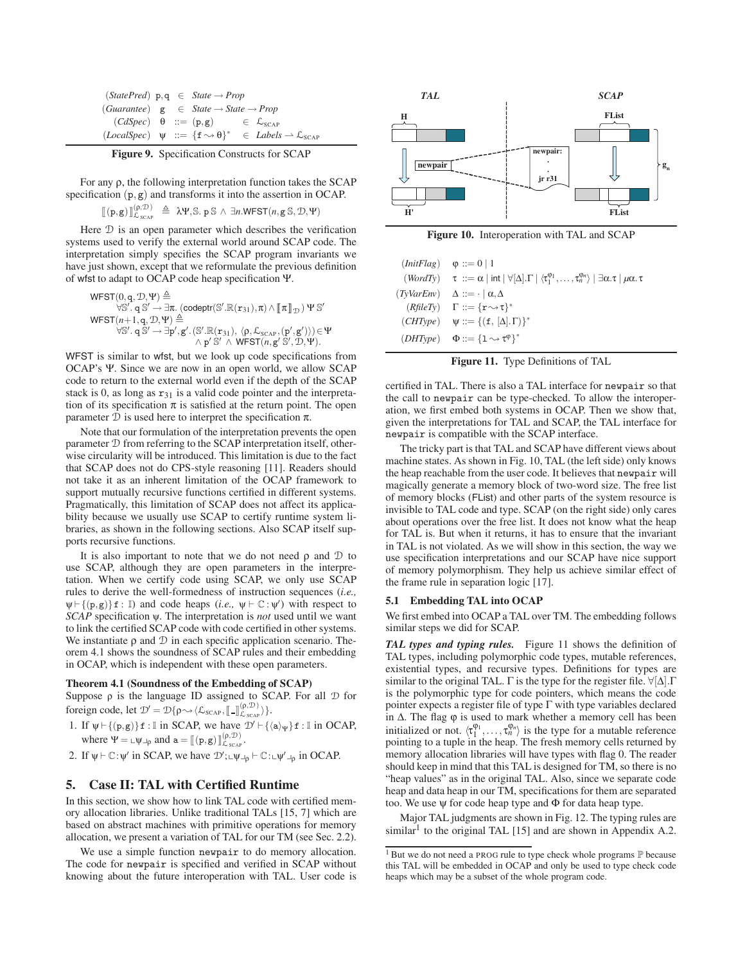| $(StatePred)$ p, q $\in$ <i>State</i> $\rightarrow$ <i>Prop</i> |  |                                                        |                                                                                                                            |
|-----------------------------------------------------------------|--|--------------------------------------------------------|----------------------------------------------------------------------------------------------------------------------------|
| $(Guarantee)$ g $\in State \rightarrow State \rightarrow Prop$  |  |                                                        |                                                                                                                            |
|                                                                 |  | $(CdSpec)$ $\theta ::= (p,g)$ $\in \mathcal{L}_{SCAP}$ |                                                                                                                            |
|                                                                 |  |                                                        | $(LocalSpec) \quad \psi \ ::= \{f \rightsquigarrow \theta\}^* \in \mathit{Labels} \rightarrow \mathcal{L}_{\mathit{SCAP}}$ |

**Figure 9.** Specification Constructs for SCAP

For any ρ, the following interpretation function takes the SCAP specification (p,g) and transforms it into the assertion in OCAP.

$$
[\![ (p,g) ]\!]_{\mathcal{L}_{SCAP}}^{(p,\mathcal{D})} \triangleq \mathcal{W}, \mathbb{S}. p \mathbb{S} \wedge \exists n. \mathsf{WFST}(n, g \mathbb{S}, \mathcal{D}, \Psi)
$$

Here D is an open parameter which describes the verification systems used to verify the external world around SCAP code. The interpretation simply specifies the SCAP program invariants we have just shown, except that we reformulate the previous definition of wfst to adapt to OCAP code heap specification Ψ.

$$
\begin{array}{c} \mathsf{WFST}(0,q,\mathcal{D},\Psi) \triangleq \\ \forall \mathbb{S}', q \mathbb{S}' \to \exists \pi. \ (\text{codeptr}(\mathbb{S}'.\mathbb{R}(\mathbf{r}_{31}), \pi) \wedge [\![\pi]\!]_{\mathcal{D}}) \, \Psi \, \mathbb{S}' \\ \mathsf{WFST}(n+1,q,\mathcal{D},\Psi) \triangleq \\ \forall \mathbb{S}', q \mathbb{S}' \to \exists p', g'. \, (\mathbb{S}'.\mathbb{R}(\mathbf{r}_{31}), \, \langle \rho, \mathcal{L}_{\text{SCAP}}, (p',g') \rangle) \in \Psi \\ \wedge p' \, \mathbb{S}' \, \wedge \, \mathsf{WFST}(n,g' \, \mathbb{S}', \mathcal{D}, \Psi). \end{array}
$$

WFST is similar to wfst, but we look up code specifications from OCAP's Ψ. Since we are now in an open world, we allow SCAP code to return to the external world even if the depth of the SCAP stack is 0, as long as  $r_{31}$  is a valid code pointer and the interpretation of its specification  $\pi$  is satisfied at the return point. The open parameter D is used here to interpret the specification π.

Note that our formulation of the interpretation prevents the open parameter D from referring to the SCAP interpretation itself, otherwise circularity will be introduced. This limitation is due to the fact that SCAP does not do CPS-style reasoning [11]. Readers should not take it as an inherent limitation of the OCAP framework to support mutually recursive functions certified in different systems. Pragmatically, this limitation of SCAP does not affect its applicability because we usually use SCAP to certify runtime system libraries, as shown in the following sections. Also SCAP itself supports recursive functions.

It is also important to note that we do not need  $\rho$  and  $\mathcal D$  to use SCAP, although they are open parameters in the interpretation. When we certify code using SCAP, we only use SCAP rules to derive the well-formedness of instruction sequences (*i.e.,*  $\psi \vdash \{(p,g)\}\n\mathbf{f} : \mathbb{I}$  and code heaps (*i.e.*,  $\psi \vdash \mathbb{C} : \psi'$ ) with respect to *SCAP* specification ψ. The interpretation is *not* used until we want to link the certified SCAP code with code certified in other systems. We instantiate  $\rho$  and  $\mathcal D$  in each specific application scenario. Theorem 4.1 shows the soundness of SCAP rules and their embedding in OCAP, which is independent with these open parameters.

## **Theorem 4.1 (Soundness of the Embedding of SCAP)**

Suppose  $\rho$  is the language ID assigned to SCAP. For all  $D$  for foreign code, let  $\mathcal{D}' = \mathcal{D}\{\rho \sim \langle \mathcal{L}_{SCAP}, [\![...]\!]_{\mathcal{L}_{SCAP}}^{(\rho, \mathcal{D})} \rangle\}.$ 

1. If  $\psi \vdash \{(p,g)\}\mathbf{f} : \mathbb{I}$  in SCAP, we have  $\mathcal{D}' \vdash \{\langle a \rangle_{\psi}\}\mathbf{f} : \mathbb{I}$  in OCAP, where  $\Psi = \mu \psi_{\text{p}}$  and  $\mathbf{a} = [[(\mathbf{p}, \mathbf{g})]]_{\mathcal{L}_{SCAP}}^{(\rho, \mathcal{D})}$ .

2. If  $\psi \vdash \mathbb{C} : \psi'$  in SCAP, we have  $\mathcal{D}' : \psi \vdash \phi \vdash \mathbb{C} : \psi' \vdash \phi$  in OCAP.

## **5. Case II: TAL with Certified Runtime**

In this section, we show how to link TAL code with certified memory allocation libraries. Unlike traditional TALs [15, 7] which are based on abstract machines with primitive operations for memory allocation, we present a variation of TAL for our TM (see Sec. 2.2).

We use a simple function newpair to do memory allocation. The code for newpair is specified and verified in SCAP without knowing about the future interoperation with TAL. User code is



**Figure 10.** Interoperation with TAL and SCAP

| $\text{InitFlag}$ $\varphi ::= 0 \mid 1$ |                                                                                                                                                                                                               |
|------------------------------------------|---------------------------------------------------------------------------------------------------------------------------------------------------------------------------------------------------------------|
|                                          | $(WordTy)$ $\tau ::= \alpha \mid \text{int} \mid \forall [\Delta] \cdot \Gamma \mid \langle \tau_1^{\varphi_1}, \ldots, \tau_n^{\varphi_n} \rangle \mid \exists \alpha \cdot \tau \mid \mu \alpha \cdot \tau$ |
|                                          | $(TvVarEnv)$ $\Delta ::= \cdot   \alpha, \Delta$                                                                                                                                                              |
|                                          | $(RfileTy)$ $\Gamma ::= {\mathbf{r}} \rightarrow {\mathbf{r}}^*$                                                                                                                                              |
|                                          | $(CHType) \quad \psi ::= \{(\mathbf{f}, [\Delta], \Gamma)\}^*$                                                                                                                                                |
|                                          | $(DHType)$ $\Phi ::= \{1 \rightsquigarrow \tau^{\phi}\}^*$                                                                                                                                                    |

**Figure 11.** Type Definitions of TAL

certified in TAL. There is also a TAL interface for newpair so that the call to newpair can be type-checked. To allow the interoperation, we first embed both systems in OCAP. Then we show that, given the interpretations for TAL and SCAP, the TAL interface for newpair is compatible with the SCAP interface.

The tricky part is that TAL and SCAP have different views about machine states. As shown in Fig. 10, TAL (the left side) only knows the heap reachable from the user code. It believes that newpair will magically generate a memory block of two-word size. The free list of memory blocks (FList) and other parts of the system resource is invisible to TAL code and type. SCAP (on the right side) only cares about operations over the free list. It does not know what the heap for TAL is. But when it returns, it has to ensure that the invariant in TAL is not violated. As we will show in this section, the way we use specification interpretations and our SCAP have nice support of memory polymorphism. They help us achieve similar effect of the frame rule in separation logic [17].

## **5.1 Embedding TAL into OCAP**

We first embed into OCAP a TAL over TM. The embedding follows similar steps we did for SCAP.

*TAL types and typing rules.* Figure 11 shows the definition of TAL types, including polymorphic code types, mutable references, existential types, and recursive types. Definitions for types are similar to the original TAL.  $\Gamma$  is the type for the register file.  $\forall [\Delta] \cdot \Gamma$ is the polymorphic type for code pointers, which means the code pointer expects a register file of type  $\Gamma$  with type variables declared in  $Δ$ . The flag  $φ$  is used to mark whether a memory cell has been initialized or not.  $\langle \tau_1^{\varphi_1}, \ldots, \tau_n^{\varphi_n} \rangle$  is the type for a mutable reference pointing to a tuple in the heap. The fresh memory cells returned by memory allocation libraries will have types with flag 0. The reader should keep in mind that this TAL is designed for TM, so there is no "heap values" as in the original TAL. Also, since we separate code heap and data heap in our TM, specifications for them are separated too. We use ψ for code heap type and Φ for data heap type.

Major TAL judgments are shown in Fig. 12. The typing rules are similar<sup>1</sup> to the original TAL  $[15]$  and are shown in Appendix A.2.

 $1$  But we do not need a PROG rule to type check whole programs  $\mathbb P$  because this TAL will be embedded in OCAP and only be used to type check code heaps which may be a subset of the whole program code.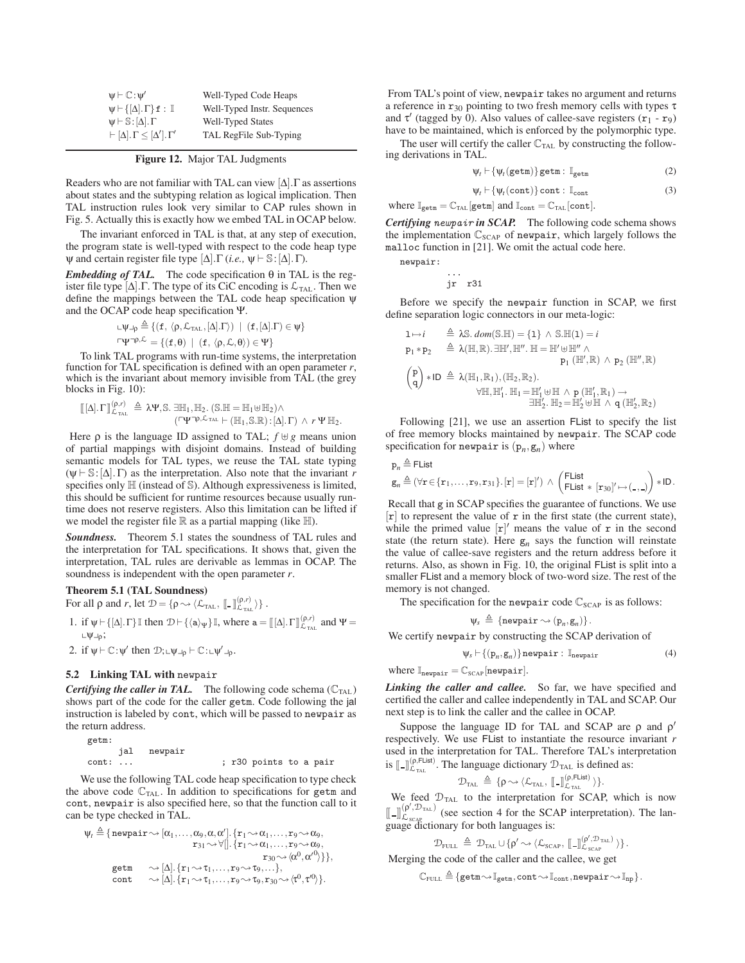| $\mathsf{w} \vdash \mathbb{C}$ : $\mathsf{w}'$          | Well-Typed Code Heaps       |
|---------------------------------------------------------|-----------------------------|
| $\psi \vdash \{[\Delta], \Gamma\}$ f: $\mathbb{I}$      | Well-Typed Instr. Sequences |
| $\psi \vdash \mathbb{S} : [\Delta] \cdot \Gamma$        | <b>Well-Typed States</b>    |
| $\vdash [\Delta]$ . $\Gamma \leq [\Delta']$ . $\Gamma'$ | TAL RegFile Sub-Typing      |

**Figure 12.** Major TAL Judgments

Readers who are not familiar with TAL can view  $[\Delta]$ . Γ as assertions about states and the subtyping relation as logical implication. Then TAL instruction rules look very similar to CAP rules shown in Fig. 5. Actually this is exactly how we embed TAL in OCAP below.

The invariant enforced in TAL is that, at any step of execution, the program state is well-typed with respect to the code heap type  $\psi$  and certain register file type  $[\Delta]$ . Γ (*i.e.*,  $\psi \vdash \mathbb{S} : [\Delta]$ . Γ).

*Embedding of TAL.* The code specification  $\theta$  in TAL is the register file type  $[\Delta]$ . The type of its CiC encoding is  $\mathcal{L}_{\text{TAL}}$ . Then we define the mappings between the TAL code heap specification ψ and the OCAP code heap specification Ψ.

$$
\begin{aligned} \llcorner \psi \lrcorner_{\rho} &\stackrel{\triangle}{=} \{ (f, \langle \rho, \mathcal{L}_{\text{TAL}}, [\Delta] . \Gamma \rangle) \ | \ (f, [\Delta] . \Gamma) \in \psi \} \\ \llcorner \Psi \urcorner^{p, \mathcal{L}} & = \{ (f, \theta) \ | \ (f, \langle \rho, \mathcal{L}, \theta \rangle) \in \Psi \} \end{aligned}
$$

To link TAL programs with run-time systems, the interpretation function for TAL specification is defined with an open parameter *r*, which is the invariant about memory invisible from TAL (the grey blocks in Fig. 10):

$$
\begin{array}{l} [\![\Delta]\!].\Gamma]\!]_{\mathcal{L}_{\text{tal.}}}^{(\rho,r)} \triangleq \lambda \Psi, \mathbb{S}.\ \exists \mathbb{H}_1, \mathbb{H}_2. \ (\mathbb{S}.\mathbb{H}=\mathbb{H}_1\uplus \mathbb{H}_2) \wedge \\qquad \qquad (\ulcorner \Psi\urcorner^{\rho,\mathcal{L}_{\text{tal.}}} \vdash (\mathbb{H}_1, \mathbb{S}.\mathbb{R})\!:\![\Delta]\!].\Gamma) \ \wedge \ r \ \Psi \ \mathbb{H}_2. \end{array}
$$

Here  $\rho$  is the language ID assigned to TAL;  $f \oplus g$  means union of partial mappings with disjoint domains. Instead of building semantic models for TAL types, we reuse the TAL state typing  $(\psi \vdash \mathbb{S}: [\Delta], \Gamma)$  as the interpretation. Also note that the invariant *r* specifies only  $\mathbb H$  (instead of  $\mathbb S$ ). Although expressiveness is limited, this should be sufficient for runtime resources because usually runtime does not reserve registers. Also this limitation can be lifted if we model the register file  $\mathbb R$  as a partial mapping (like  $\mathbb H$ ).

*Soundness.* Theorem 5.1 states the soundness of TAL rules and the interpretation for TAL specifications. It shows that, given the interpretation, TAL rules are derivable as lemmas in OCAP. The soundness is independent with the open parameter *r*.

## **Theorem 5.1 (TAL Soundness)**

For all  $\rho$  and  $r$ , let  $\mathcal{D} = \{ \rho \leadsto \langle \mathcal{L}_{\text{TAL}}, [\![ \_ \ ]\!]_{\mathcal{L}_{\text{TAL}}}^{(\rho,r)} \rangle \}$ .

- 1. if  $\psi \vdash \{[\Delta], \Gamma\} \mathbb{I}$  then  $\mathcal{D} \vdash \{\langle a \rangle \psi\} \mathbb{I}$ , where  $a = [[\Delta], \Gamma]_{\mathcal{L}_{\text{TL}}}^{(\rho, r)}$  and  $\Psi =$  $L\Psi\Box\rho$ ;
- 2. if  $\psi \vdash \mathbb{C}$ : $\psi'$  then  $\mathcal{D}$ ;  $\psi \vdash \psi \vdash \psi' \vdash \psi' \vdash \psi'$ .

## **5.2 Linking TAL with** newpair

*Certifying the caller in TAL.* The following code schema  $(\mathbb{C}_{\text{TAL}})$ shows part of the code for the caller getm. Code following the jal instruction is labeled by cont, which will be passed to newpair as the return address.

getm: jal newpair cont: ... ; r30 points to a pair

We use the following TAL code heap specification to type check the above code  $\mathbb{C}_{\text{TAL}}$ . In addition to specifications for getm and cont, newpair is also specified here, so that the function call to it can be type checked in TAL.

$$
\psi_t \triangleq \{ \begin{aligned} \text{newpair} &\sim [\alpha_1, \dots, \alpha_9, \alpha, \alpha'], \{\texttt{r}_1 &\sim \alpha_1, \dots, \texttt{r}_9 &\sim \alpha_9, \\ \texttt{r}_{31} &\sim \forall [\textcolor{red}{]}. \{\texttt{r}_1 &\sim \alpha_1, \dots, \texttt{r}_9 &\sim \alpha_9, \\ \texttt{r}_{30} &\sim \langle \alpha^0, \alpha'^0 \rangle \} \}, \\ \texttt{getm} &\sim [\Delta]. \{\texttt{r}_1 &\sim \texttt{r}_1, \dots, \texttt{r}_9 &\sim \texttt{r}_9, \dots\}, \\ \texttt{cont} &\sim [\Delta]. \{\texttt{r}_1 &\sim \texttt{r}_1, \dots, \texttt{r}_9 &\sim \texttt{r}_9, \texttt{r}_{30} &\sim \langle \texttt{r}^0, \texttt{r}^0 \rangle \}. \end{aligned}
$$

From TAL's point of view, newpair takes no argument and returns a reference in  $r_{30}$  pointing to two fresh memory cells with types  $\tau$ and  $\tau'$  (tagged by 0). Also values of callee-save registers  $(r_1 - r_9)$ have to be maintained, which is enforced by the polymorphic type.

The user will certify the caller  $\mathbb{C}_{\text{TAL}}$  by constructing the following derivations in TAL.

$$
\psi_t \vdash \{ \psi_t(\texttt{getm}) \} \texttt{getm} : \mathbb{I}_{\texttt{getm}} \tag{2}
$$

$$
\psi_t \vdash \{\psi_t(\text{cont})\} \text{cont} : \mathbb{I}_{\text{cont}} \tag{3}
$$

where  $\mathbb{I}_{\texttt{getm}} = \mathbb{C}_{\texttt{TAL}}[\texttt{getm}]$  and  $\mathbb{I}_{\texttt{cont}} = \mathbb{C}_{\texttt{TAL}}[\texttt{cont}]$ .

*Certifying newpair in SCAP.* The following code schema shows the implementation  $\mathbb{C}_{SCAP}$  of newpair, which largely follows the malloc function in [21]. We omit the actual code here.

newpair:

$$
\begin{array}{c}\n\cdots \\
jr \quad r31\n\end{array}
$$

Before we specify the newpair function in SCAP, we first define separation logic connectors in our meta-logic:

$$
\begin{array}{lll} 1 \mapsto i & \triangleq \lambda \mathbb{S}.\text{ dom}(\mathbb{S}.\mathbb{H}) = \{1\} \wedge \mathbb{S}.\mathbb{H}(1) = i \\ & p_1*p_2 & \triangleq \lambda(\mathbb{H},\mathbb{R}).\exists \mathbb{H}',\mathbb{H}''.\ \mathbb{H} = \mathbb{H}' \uplus \mathbb{H}'' \wedge \\ & p_1\ (\mathbb{H}',\mathbb{R}) \wedge p_2\ (\mathbb{H}'',\mathbb{R}) \\ & \left( \begin{matrix} p \\ q \end{matrix} \right) * ID & \triangleq \lambda(\mathbb{H}_1,\mathbb{R}_1), (\mathbb{H}_2,\mathbb{R}_2). \\ & \qquad \qquad \forall \mathbb{H},\mathbb{H}'_1.\ \mathbb{H}_1 = \mathbb{H}'_1 \uplus \mathbb{H} \wedge p\ (\mathbb{H}'_1,\mathbb{R}_1) \rightarrow \\ & \qquad \qquad \qquad \exists \mathbb{H}'_2.\ \mathbb{H}_2 = \mathbb{H}'_2 \uplus \mathbb{H} \wedge q\ (\mathbb{H}'_2,\mathbb{R}_2) \end{array}
$$

Following [21], we use an assertion FList to specify the list of free memory blocks maintained by newpair. The SCAP code specification for newpair is  $(p_n, g_n)$  where

$$
\begin{aligned}\n\mathbf{p}_n &\triangleq \mathsf{Flist} \\
\mathbf{g}_n &\triangleq (\forall \mathbf{r} \in \{\mathbf{r}_1,\ldots,\mathbf{r}_9,\mathbf{r}_{31}\}.\n[\mathbf{r}] = [\mathbf{r}]') \ \land \ \begin{pmatrix}\n\mathsf{Flist} \\
\mathsf{Flist} * [\mathbf{r}_{30}]' \mapsto (\mathsf{I},\mathsf{I})\n\end{pmatrix} * \mathsf{ID}.\n\end{aligned}
$$

Recall that g in SCAP specifies the guarantee of functions. We use  $[r]$  to represent the value of r in the first state (the current state), while the primed value  $[r]'$  means the value of  $r$  in the second state (the return state). Here  $g_n$  says the function will reinstate the value of callee-save registers and the return address before it returns. Also, as shown in Fig. 10, the original FList is split into a smaller FList and a memory block of two-word size. The rest of the memory is not changed.

The specification for the newpair code  $\mathbb{C}_{SCAP}$  is as follows:

$$
\psi_s \triangleq \{ \text{newpair} \leadsto (\mathbf{p}_n, \mathbf{g}_n) \}.
$$

We certify newpair by constructing the SCAP derivation of

$$
\psi_s \vdash \{ (p_n, g_n) \} \text{newpair} : \mathbb{I}_{\text{newpair}} \tag{4}
$$

where  $\mathbb{I}_{\text{newpair}} = \mathbb{C}_{\text{SCAP}}[\text{newpair}].$ 

Linking the caller and callee. So far, we have specified and certified the caller and callee independently in TAL and SCAP. Our next step is to link the caller and the callee in OCAP.

Suppose the language ID for TAL and SCAP are  $\rho$  and  $\rho'$ respectively. We use FList to instantiate the resource invariant *r* used in the interpretation for TAL. Therefore TAL's interpretation is  $\llbracket - \rrbracket_{\mathcal{L}_{\text{TL}}}^{(\rho,\text{Flist})}$ . The language dictionary  $\mathcal{D}_{\text{TL}}$  is defined as:

$$
\mathcal{D}_{\text{tal}} \, \triangleq \, \{ \rho \leadsto \langle \mathcal{L}_{\text{tal}}, \, [\![ . \!]_{\mathcal{L}_{\text{tal}}}^{(\rho, \text{Flat})} \, \rangle \}.
$$

We feed  $D_{\text{TAL}}$  to the interpretation for SCAP, which is now  $\left[\begin{matrix} -\end{matrix}\right]_{\Gamma}^{(\rho', \mathcal{D}_{\text{IAL}})}$  $\mathcal{L}_{S_{\text{CAP}}}^{(\mathbf{p}, \mathcal{D}_{\text{TAL}})}$  (see section 4 for the SCAP interpretation). The language dictionary for both languages is:

$$
\mathcal{D}_{\text{FULL}} \ \triangleq \ \mathcal{D}_{\text{TAL}} \cup \{\rho' \sim \text{${\langle\mathcal{L}_{\text{SCAP}}},\;[\![\;]\!]_{\mathcal{L}_{\text{SCAP}}}^{(\rho', \mathcal{D}_{\text{TAL}})} \;\text{${\rangle$}}\}}.
$$

Merging the code of the caller and the caller, we get  
\n
$$
\mathbb{C}_{\text{FULL}} \triangleq \{ \text{getm} \sim \mathbb{I}_{\text{getm}}, \text{cont} \sim \mathbb{I}_{\text{cont}}, \text{newpair} \sim \mathbb{I}_{\text{np}} \}.
$$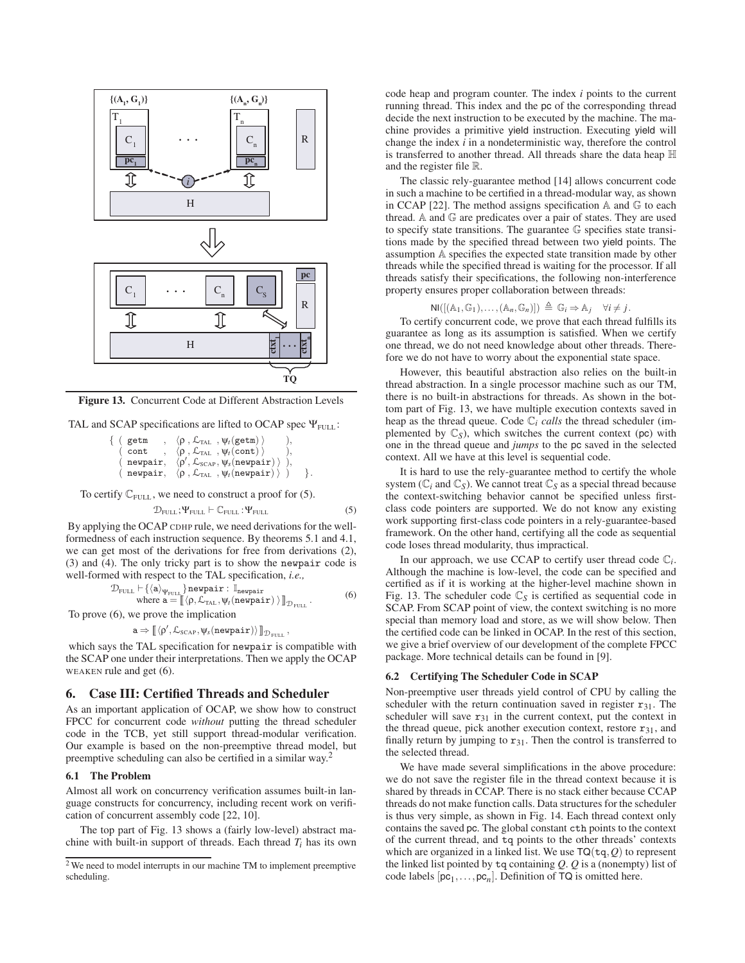

**Figure 13.** Concurrent Code at Different Abstraction Levels

TAL and SCAP specifications are lifted to OCAP spec  $\Psi$ <sub>FULL</sub>:

| getm | $\langle \rho, \mathcal{L}_{\text{TAL}} \rangle, \psi_t(\text{getm})$                |  |
|------|--------------------------------------------------------------------------------------|--|
| cont | $\langle \rho, \mathcal{L}_{\text{TAL}} \rangle, \psi_t(\text{cont})$                |  |
|      | (newpair, $\langle \rho', \mathcal{L}_{\text{SCAP}}, \psi_s(\text{newpair}) \rangle$ |  |
|      | ( newpair, $\langle \rho, \mathcal{L}_{\text{TAL}} , \psi_t(\text{newpair}) \rangle$ |  |

To certify  $\mathbb{C}_{\text{FULL}}$ , we need to construct a proof for (5).

$$
\mathcal{D}_{\text{FULL}}; \Psi_{\text{FULL}} \vdash \mathbb{C}_{\text{FULL}} : \Psi_{\text{FULL}} \tag{5}
$$

By applying the OCAP CDHP rule, we need derivations for the wellformedness of each instruction sequence. By theorems 5.1 and 4.1, we can get most of the derivations for free from derivations (2), (3) and (4). The only tricky part is to show the newpair code is well-formed with respect to the TAL specification, *i.e.,*

$$
\begin{array}{ll}\mathcal{D}_{\text{FULL}}\vdash \{\langle a\rangle_{\Psi_{\text{FULL}}}\} \text{newpair}: \mathbb{I}_{\text{newpair}} \\ \text{where } a = \llbracket \langle \rho, \mathcal{L}_{\text{TAL}}, \psi_{\text{r}}(\text{newpair}) \rangle \rrbracket_{\mathcal{D}_{\text{FULL}}}\,. \end{array}\n \tag{6}
$$

To prove (6), we prove the implication

$$
\mathtt{a} \Rightarrow \llbracket \langle \rho', \mathcal{L}_{\text{SCAP}}, \psi_s(\text{newpair}) \rangle \rrbracket_{\mathcal{D}_{\text{full}}}\,,
$$

which says the TAL specification for newpair is compatible with the SCAP one under their interpretations. Then we apply the OCAP WEAKEN rule and get (6).

## **6. Case III: Certified Threads and Scheduler**

As an important application of OCAP, we show how to construct FPCC for concurrent code *without* putting the thread scheduler code in the TCB, yet still support thread-modular verification. Our example is based on the non-preemptive thread model, but preemptive scheduling can also be certified in a similar way.<sup>2</sup>

## **6.1 The Problem**

Almost all work on concurrency verification assumes built-in language constructs for concurrency, including recent work on verification of concurrent assembly code [22, 10].

The top part of Fig. 13 shows a (fairly low-level) abstract machine with built-in support of threads. Each thread *Ti* has its own code heap and program counter. The index *i* points to the current running thread. This index and the pc of the corresponding thread decide the next instruction to be executed by the machine. The machine provides a primitive yield instruction. Executing yield will change the index *i* in a nondeterministic way, therefore the control is transferred to another thread. All threads share the data heap H and the register file R.

The classic rely-guarantee method [14] allows concurrent code in such a machine to be certified in a thread-modular way, as shown in CCAP [22]. The method assigns specification  $A$  and  $C$  to each thread. A and G are predicates over a pair of states. They are used to specify state transitions. The guarantee G specifies state transitions made by the specified thread between two yield points. The assumption A specifies the expected state transition made by other threads while the specified thread is waiting for the processor. If all threads satisfy their specifications, the following non-interference property ensures proper collaboration between threads:

$$
\text{NI}([\mathbb{A}_1,\mathbb{G}_1),\ldots,(\mathbb{A}_n,\mathbb{G}_n)]) \triangleq \mathbb{G}_i \Rightarrow \mathbb{A}_j \quad \forall i \neq j.
$$

To certify concurrent code, we prove that each thread fulfills its guarantee as long as its assumption is satisfied. When we certify one thread, we do not need knowledge about other threads. Therefore we do not have to worry about the exponential state space.

However, this beautiful abstraction also relies on the built-in thread abstraction. In a single processor machine such as our TM, there is no built-in abstractions for threads. As shown in the bottom part of Fig. 13, we have multiple execution contexts saved in heap as the thread queue. Code C*<sup>i</sup> calls* the thread scheduler (implemented by  $\mathbb{C}_S$ ), which switches the current context (pc) with one in the thread queue and *jumps* to the pc saved in the selected context. All we have at this level is sequential code.

It is hard to use the rely-guarantee method to certify the whole system ( $\mathbb{C}_i$  and  $\mathbb{C}_S$ ). We cannot treat  $\mathbb{C}_S$  as a special thread because the context-switching behavior cannot be specified unless firstclass code pointers are supported. We do not know any existing work supporting first-class code pointers in a rely-guarantee-based framework. On the other hand, certifying all the code as sequential code loses thread modularity, thus impractical.

In our approach, we use CCAP to certify user thread code  $\mathbb{C}_i$ . Although the machine is low-level, the code can be specified and certified as if it is working at the higher-level machine shown in Fig. 13. The scheduler code  $\mathbb{C}_S$  is certified as sequential code in SCAP. From SCAP point of view, the context switching is no more special than memory load and store, as we will show below. Then the certified code can be linked in OCAP. In the rest of this section, we give a brief overview of our development of the complete FPCC package. More technical details can be found in [9].

#### **6.2 Certifying The Scheduler Code in SCAP**

Non-preemptive user threads yield control of CPU by calling the scheduler with the return continuation saved in register  $r_{31}$ . The scheduler will save  $r_{31}$  in the current context, put the context in the thread queue, pick another execution context, restore  $r_{31}$ , and finally return by jumping to  $r_{31}$ . Then the control is transferred to the selected thread.

We have made several simplifications in the above procedure: we do not save the register file in the thread context because it is shared by threads in CCAP. There is no stack either because CCAP threads do not make function calls. Data structures for the scheduler is thus very simple, as shown in Fig. 14. Each thread context only contains the saved pc. The global constant cth points to the context of the current thread, and tq points to the other threads' contexts which are organized in a linked list. We use  $TO(tq, Q)$  to represent the linked list pointed by tq containing *Q*. *Q* is a (nonempty) list of code labels  $[pc_1, \ldots, pc_n]$ . Definition of TQ is omitted here.

<sup>&</sup>lt;sup>2</sup> We need to model interrupts in our machine TM to implement preemptive scheduling.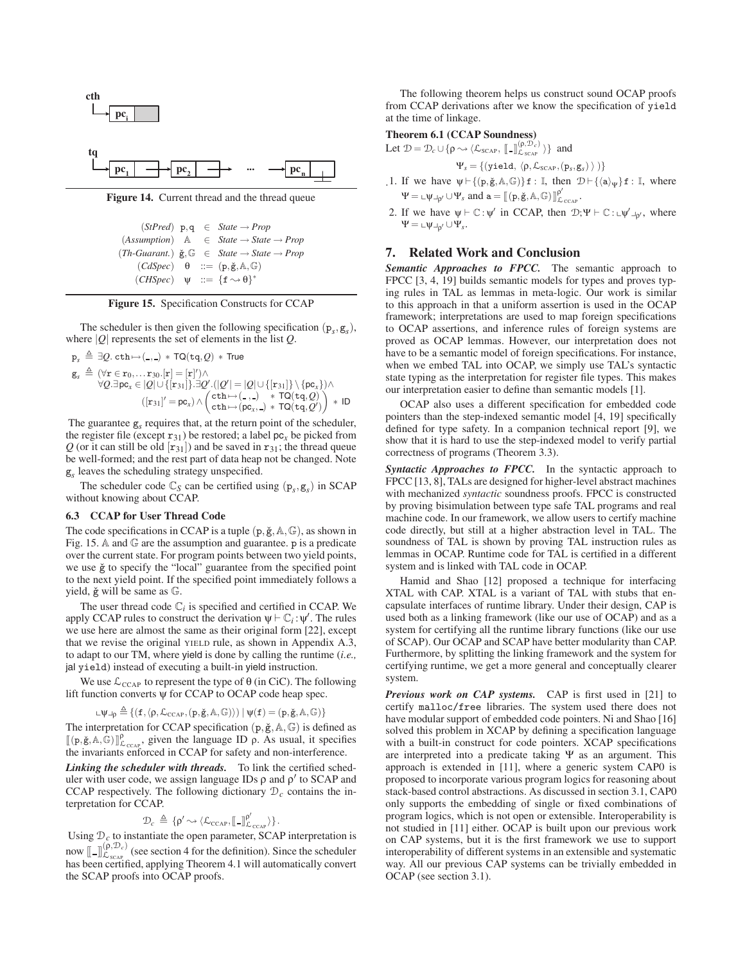



**Figure 14.** Current thread and the thread queue

```
(StPred) p,q ∈ State → Prop
(Assumption) A ∈ State → State → Prop
(Th-Guarant.) \; \check{g}, \mathbb{G} \in State \rightarrow State \rightarrow Prop(CdSpec) θ ::= (p, \check{g}, A, \mathbb{G})(CHSpec) \quad \psi \ ::= \{f \rightsquigarrow \theta\}^*
```


The scheduler is then given the following specification  $(p_s, g_s)$ , where  $|Q|$  represents the set of elements in the list  $Q$ .

p*<sup>s</sup>* - ∃*Q*. cth→( , ) ∗ TQ(tq,*Q*) ∗ True g*<sup>s</sup>* - (∀r ∈ r0,... r30.[r]=[r] )∧ ∀*Q*.∃pc*<sup>x</sup>* ∈ |*Q*|∪{[r31]}.∃*Q* .(|*Q* | = |*Q*|∪{[r31]}\{pc*x*})∧ ([r31] = pc*x*)∧ cth→( , ) ∗ TQ(tq,*Q*) cth→(pc*x*, ) ∗ TQ(tq,*Q* ) ∗ ID

The guarantee  $g_s$  requires that, at the return point of the scheduler, the register file (except  $r_{31}$ ) be restored; a label  $pc_x$  be picked from *Q* (or it can still be old  $[r_{31}]$ ) and be saved in  $r_{31}$ ; the thread queue be well-formed; and the rest part of data heap not be changed. Note g*<sup>s</sup>* leaves the scheduling strategy unspecified.

The scheduler code  $\mathbb{C}_S$  can be certified using  $(p_s, g_s)$  in SCAP without knowing about CCAP.

#### **6.3 CCAP for User Thread Code**

The code specifications in CCAP is a tuple  $(p, \check{g}, A, \mathbb{G})$ , as shown in Fig. 15. A and  $\mathbb G$  are the assumption and guarantee. p is a predicate over the current state. For program points between two yield points, we use  $\check{g}$  to specify the "local" guarantee from the specified point to the next yield point. If the specified point immediately follows a yield,  $\check{g}$  will be same as  $\mathbb{G}$ .

The user thread code  $\mathbb{C}_i$  is specified and certified in CCAP. We apply CCAP rules to construct the derivation  $\psi \vdash \mathbb{C}_i : \psi'$ . The rules we use here are almost the same as their original form [22], except that we revise the original YIELD rule, as shown in Appendix A.3, to adapt to our TM, where yield is done by calling the runtime (*i.e.,* jal yield) instead of executing a built-in yield instruction.

We use  $\mathcal{L}_{\text{CCAP}}$  to represent the type of  $\theta$  (in CiC). The following lift function converts ψ for CCAP to OCAP code heap spec.

$$
\llcorner \psi \lrcorner_{\rho} \triangleq \{(f, \langle \rho, \mathcal{L}_{\text{CCAP}}, (p, \check{g}, \mathbb{A}, \mathbb{G}) \rangle) \mid \psi(f) = (p, \check{g}, \mathbb{A}, \mathbb{G})\}
$$

The interpretation for CCAP specification  $(p, \check{g}, A, \mathbb{G})$  is defined as  $[(p, \check{g}, A, \hat{G})]_{\mathcal{L}_{CCAP}}^p$ , given the language ID  $\rho$ . As usual, it specifies the invariants enforced in CCAP for safety and non-interference.

*Linking the scheduler with threads.* To link the certified scheduler with user code, we assign language IDs  $\rho$  and  $\rho'$  to SCAP and CCAP respectively. The following dictionary  $\mathcal{D}_c$  contains the interpretation for CCAP.

$$
\mathcal{D}_c \,\triangleq\, \{\rho' \!\sim\! \langle \mathcal{L}_{CCAP}, \llbracket \, \_\rrbracket^{\rho'}_{\mathcal{L}_{CCAP}} \rangle \} \, .
$$

Using  $\mathcal{D}_c$  to instantiate the open parameter, SCAP interpretation is now  $[\![\,\_]\!]_{\mathcal{L}_{SCR}^{(p,\mathcal{D}_c)}}^{(p,\mathcal{D}_c)}$  (see section 4 for the definition). Since the scheduler has been certified, applying Theorem 4.1 will automatically convert the SCAP proofs into OCAP proofs.

The following theorem helps us construct sound OCAP proofs from CCAP derivations after we know the specification of yield at the time of linkage.

#### **Theorem 6.1 (CCAP Soundness)**

Let 
$$
\mathcal{D} = \mathcal{D}_c \cup \{ \rho \leadsto \langle \mathcal{L}_{SCAP}, \llbracket - \rrbracket_{\mathcal{L}_{SCAP}}^{(\rho, \mathcal{D}_c)} \rangle \}
$$
 and

$$
\Psi_s = \{(\texttt{yield}, \langle \rho, \mathcal{L}_{\text{SCAP}}, (p_s, g_s) \rangle)\}
$$

- .1. If we have  $\psi \vdash \{(p, \check{g}, A, \mathbb{G})\}$  f: I, then  $\mathcal{D} \vdash \{\langle a \rangle_{\psi}\}$  f: I, where  $\Psi = \text{L}\psi \text{L}_{\rho'} \cup \Psi_s$  and  $\mathbf{a} = [[(\mathbf{p}, \check{\mathbf{g}}, \mathbb{A}, \mathbb{G})]]_{\mathcal{L}_{CCAP}}^{\rho'}$ .
- 2. If we have  $\psi \vdash \mathbb{C} : \psi'$  in CCAP, then  $\mathcal{D}; \Psi \vdash \mathbb{C} : \psi' \bot_{\phi'}$ , where  $\Psi = \sqcup \psi \sqcup \neg \phi \cup \Psi_s.$

## **7. Related Work and Conclusion**

*Semantic Approaches to FPCC.* The semantic approach to FPCC [3, 4, 19] builds semantic models for types and proves typing rules in TAL as lemmas in meta-logic. Our work is similar to this approach in that a uniform assertion is used in the OCAP framework; interpretations are used to map foreign specifications to OCAP assertions, and inference rules of foreign systems are proved as OCAP lemmas. However, our interpretation does not have to be a semantic model of foreign specifications. For instance, when we embed TAL into OCAP, we simply use TAL's syntactic state typing as the interpretation for register file types. This makes our interpretation easier to define than semantic models [1].

OCAP also uses a different specification for embedded code pointers than the step-indexed semantic model [4, 19] specifically defined for type safety. In a companion technical report [9], we show that it is hard to use the step-indexed model to verify partial correctness of programs (Theorem 3.3).

*Syntactic Approaches to FPCC.* In the syntactic approach to FPCC [13, 8], TALs are designed for higher-level abstract machines with mechanized *syntactic* soundness proofs. FPCC is constructed by proving bisimulation between type safe TAL programs and real machine code. In our framework, we allow users to certify machine code directly, but still at a higher abstraction level in TAL. The soundness of TAL is shown by proving TAL instruction rules as lemmas in OCAP. Runtime code for TAL is certified in a different system and is linked with TAL code in OCAP.

Hamid and Shao [12] proposed a technique for interfacing XTAL with CAP. XTAL is a variant of TAL with stubs that encapsulate interfaces of runtime library. Under their design, CAP is used both as a linking framework (like our use of OCAP) and as a system for certifying all the runtime library functions (like our use of SCAP). Our OCAP and SCAP have better modularity than CAP. Furthermore, by splitting the linking framework and the system for certifying runtime, we get a more general and conceptually clearer system.

*Previous work on CAP systems.* CAP is first used in [21] to certify malloc/free libraries. The system used there does not have modular support of embedded code pointers. Ni and Shao [16] solved this problem in XCAP by defining a specification language with a built-in construct for code pointers. XCAP specifications are interpreted into a predicate taking Ψ as an argument. This approach is extended in [11], where a generic system CAP0 is proposed to incorporate various program logics for reasoning about stack-based control abstractions. As discussed in section 3.1, CAP0 only supports the embedding of single or fixed combinations of program logics, which is not open or extensible. Interoperability is not studied in [11] either. OCAP is built upon our previous work on CAP systems, but it is the first framework we use to support interoperability of different systems in an extensible and systematic way. All our previous CAP systems can be trivially embedded in OCAP (see section 3.1).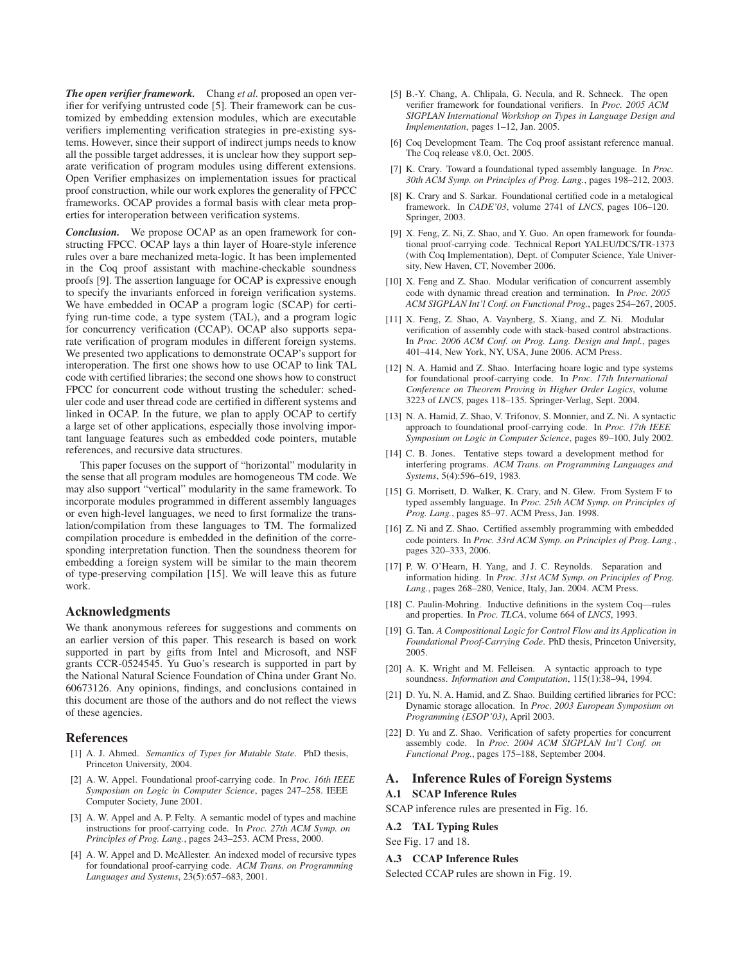*The open verifier framework.* Chang *et al.* proposed an open verifier for verifying untrusted code [5]. Their framework can be customized by embedding extension modules, which are executable verifiers implementing verification strategies in pre-existing systems. However, since their support of indirect jumps needs to know all the possible target addresses, it is unclear how they support separate verification of program modules using different extensions. Open Verifier emphasizes on implementation issues for practical proof construction, while our work explores the generality of FPCC frameworks. OCAP provides a formal basis with clear meta properties for interoperation between verification systems.

*Conclusion.* We propose OCAP as an open framework for constructing FPCC. OCAP lays a thin layer of Hoare-style inference rules over a bare mechanized meta-logic. It has been implemented in the Coq proof assistant with machine-checkable soundness proofs [9]. The assertion language for OCAP is expressive enough to specify the invariants enforced in foreign verification systems. We have embedded in OCAP a program logic (SCAP) for certifying run-time code, a type system (TAL), and a program logic for concurrency verification (CCAP). OCAP also supports separate verification of program modules in different foreign systems. We presented two applications to demonstrate OCAP's support for interoperation. The first one shows how to use OCAP to link TAL code with certified libraries; the second one shows how to construct FPCC for concurrent code without trusting the scheduler: scheduler code and user thread code are certified in different systems and linked in OCAP. In the future, we plan to apply OCAP to certify a large set of other applications, especially those involving important language features such as embedded code pointers, mutable references, and recursive data structures.

This paper focuses on the support of "horizontal" modularity in the sense that all program modules are homogeneous TM code. We may also support "vertical" modularity in the same framework. To incorporate modules programmed in different assembly languages or even high-level languages, we need to first formalize the translation/compilation from these languages to TM. The formalized compilation procedure is embedded in the definition of the corresponding interpretation function. Then the soundness theorem for embedding a foreign system will be similar to the main theorem of type-preserving compilation [15]. We will leave this as future work.

## **Acknowledgments**

We thank anonymous referees for suggestions and comments on an earlier version of this paper. This research is based on work supported in part by gifts from Intel and Microsoft, and NSF grants CCR-0524545. Yu Guo's research is supported in part by the National Natural Science Foundation of China under Grant No. 60673126. Any opinions, findings, and conclusions contained in this document are those of the authors and do not reflect the views of these agencies.

## **References**

- [1] A. J. Ahmed. *Semantics of Types for Mutable State*. PhD thesis, Princeton University, 2004.
- [2] A. W. Appel. Foundational proof-carrying code. In *Proc. 16th IEEE Symposium on Logic in Computer Science*, pages 247–258. IEEE Computer Society, June 2001.
- [3] A. W. Appel and A. P. Felty. A semantic model of types and machine instructions for proof-carrying code. In *Proc. 27th ACM Symp. on Principles of Prog. Lang.*, pages 243–253. ACM Press, 2000.
- [4] A. W. Appel and D. McAllester. An indexed model of recursive types for foundational proof-carrying code. *ACM Trans. on Programming Languages and Systems*, 23(5):657–683, 2001.
- [5] B.-Y. Chang, A. Chlipala, G. Necula, and R. Schneck. The open verifier framework for foundational verifiers. In *Proc. 2005 ACM SIGPLAN International Workshop on Types in Language Design and Implementation*, pages 1–12, Jan. 2005.
- [6] Coq Development Team. The Coq proof assistant reference manual. The Coq release v8.0, Oct. 2005.
- [7] K. Crary. Toward a foundational typed assembly language. In *Proc. 30th ACM Symp. on Principles of Prog. Lang.*, pages 198–212, 2003.
- [8] K. Crary and S. Sarkar. Foundational certified code in a metalogical framework. In *CADE'03*, volume 2741 of *LNCS*, pages 106–120. Springer, 2003.
- [9] X. Feng, Z. Ni, Z. Shao, and Y. Guo. An open framework for foundational proof-carrying code. Technical Report YALEU/DCS/TR-1373 (with Coq Implementation), Dept. of Computer Science, Yale University, New Haven, CT, November 2006.
- [10] X. Feng and Z. Shao. Modular verification of concurrent assembly code with dynamic thread creation and termination. In *Proc. 2005 ACM SIGPLAN Int'l Conf. on Functional Prog.*, pages 254–267, 2005.
- [11] X. Feng, Z. Shao, A. Vaynberg, S. Xiang, and Z. Ni. Modular verification of assembly code with stack-based control abstractions. In *Proc. 2006 ACM Conf. on Prog. Lang. Design and Impl.*, pages 401–414, New York, NY, USA, June 2006. ACM Press.
- [12] N. A. Hamid and Z. Shao. Interfacing hoare logic and type systems for foundational proof-carrying code. In *Proc. 17th International Conference on Theorem Proving in Higher Order Logics*, volume 3223 of *LNCS*, pages 118–135. Springer-Verlag, Sept. 2004.
- [13] N. A. Hamid, Z. Shao, V. Trifonov, S. Monnier, and Z. Ni. A syntactic approach to foundational proof-carrying code. In *Proc. 17th IEEE Symposium on Logic in Computer Science*, pages 89–100, July 2002.
- [14] C. B. Jones. Tentative steps toward a development method for interfering programs. *ACM Trans. on Programming Languages and Systems*, 5(4):596–619, 1983.
- [15] G. Morrisett, D. Walker, K. Crary, and N. Glew. From System F to typed assembly language. In *Proc. 25th ACM Symp. on Principles of Prog. Lang.*, pages 85–97. ACM Press, Jan. 1998.
- [16] Z. Ni and Z. Shao. Certified assembly programming with embedded code pointers. In *Proc. 33rd ACM Symp. on Principles of Prog. Lang.*, pages 320–333, 2006.
- [17] P. W. O'Hearn, H. Yang, and J. C. Reynolds. Separation and information hiding. In *Proc. 31st ACM Symp. on Principles of Prog. Lang.*, pages 268–280, Venice, Italy, Jan. 2004. ACM Press.
- [18] C. Paulin-Mohring. Inductive definitions in the system Coq—rules and properties. In *Proc. TLCA*, volume 664 of *LNCS*, 1993.
- [19] G. Tan. *A Compositional Logic for Control Flow and its Application in Foundational Proof-Carrying Code*. PhD thesis, Princeton University, 2005.
- [20] A. K. Wright and M. Felleisen. A syntactic approach to type soundness. *Information and Computation*, 115(1):38–94, 1994.
- [21] D. Yu, N. A. Hamid, and Z. Shao. Building certified libraries for PCC: Dynamic storage allocation. In *Proc. 2003 European Symposium on Programming (ESOP'03)*, April 2003.
- [22] D. Yu and Z. Shao. Verification of safety properties for concurrent assembly code. In *Proc. 2004 ACM SIGPLAN Int'l Conf. on Functional Prog.*, pages 175–188, September 2004.

# **A. Inference Rules of Foreign Systems**

# **A.1 SCAP Inference Rules**

SCAP inference rules are presented in Fig. 16.

## **A.2 TAL Typing Rules**

## See Fig. 17 and 18.

#### **A.3 CCAP Inference Rules**

Selected CCAP rules are shown in Fig. 19.